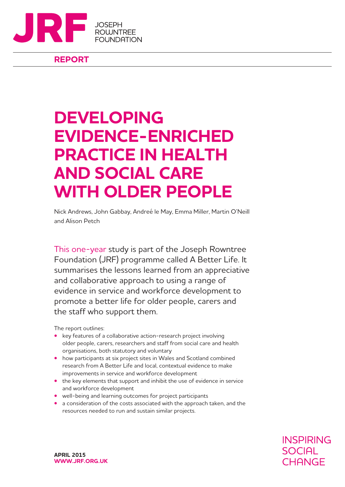

**REPORT**

## **DEVELOPING EVIDENCE-ENRICHED PRACTICE IN HEALTH AND SOCIAL CARE WITH OLDER PEOPLE**

Nick Andrews, John Gabbay, Andreé le May, Emma Miller, Martin O'Neill and Alison Petch

This one-year study is part of the Joseph Rowntree Foundation (JRF) programme called A Better Life. It summarises the lessons learned from an appreciative and collaborative approach to using a range of evidence in service and workforce development to promote a better life for older people, carers and the staff who support them.

The report outlines:

- **•** key features of a collaborative action-research project involving older people, carers, researchers and staff from social care and health organisations, both statutory and voluntary
- **•** how participants at six project sites in Wales and Scotland combined research from A Better Life and local, contextual evidence to make improvements in service and workforce development
- **•** the key elements that support and inhibit the use of evidence in service and workforce development
- **•** well-being and learning outcomes for project participants
- **•** a consideration of the costs associated with the approach taken, and the resources needed to run and sustain similar projects.

**INSPIRING SOCIAL** CHANGE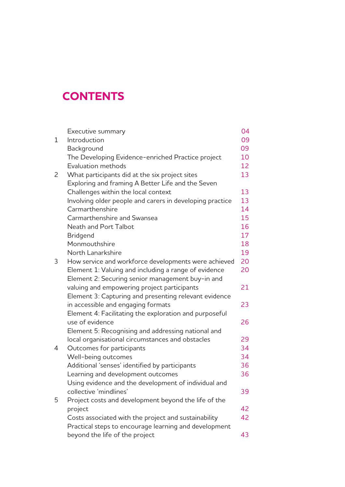## **CONTENTS**

|              | Executive summary                                        | 04 |
|--------------|----------------------------------------------------------|----|
| 1            | Introduction                                             | 09 |
|              | Background                                               | 09 |
|              | The Developing Evidence-enriched Practice project        | 10 |
|              | Evaluation methods                                       | 12 |
| $\mathsf{S}$ | What participants did at the six project sites           | 13 |
|              | Exploring and framing A Better Life and the Seven        |    |
|              | Challenges within the local context                      | 13 |
|              | Involving older people and carers in developing practice | 13 |
|              | Carmarthenshire                                          | 14 |
|              | Carmarthenshire and Swansea                              | 15 |
|              | Neath and Port Talbot                                    | 16 |
|              | <b>Bridgend</b>                                          | 17 |
|              | Monmouthshire                                            | 18 |
|              | North Lanarkshire                                        | 19 |
| 3            | How service and workforce developments were achieved     | 20 |
|              | Element 1: Valuing and including a range of evidence     | 20 |
|              | Element 2: Securing senior management buy-in and         |    |
|              | valuing and empowering project participants              | 21 |
|              | Element 3: Capturing and presenting relevant evidence    |    |
|              | in accessible and engaging formats                       | 23 |
|              | Element 4: Facilitating the exploration and purposeful   |    |
|              | use of evidence                                          | 26 |
|              | Element 5: Recognising and addressing national and       |    |
|              | local organisational circumstances and obstacles         | 29 |
| 4            | Outcomes for participants                                | 34 |
|              | Well-being outcomes                                      | 34 |
|              | Additional 'senses' identified by participants           | 36 |
|              | Learning and development outcomes                        | 36 |
|              | Using evidence and the development of individual and     |    |
|              | collective 'mindlines'                                   | 39 |
| 5            | Project costs and development beyond the life of the     |    |
|              | project                                                  | 42 |
|              | Costs associated with the project and sustainability     | 42 |
|              | Practical steps to encourage learning and development    |    |
|              | beyond the life of the project                           | 43 |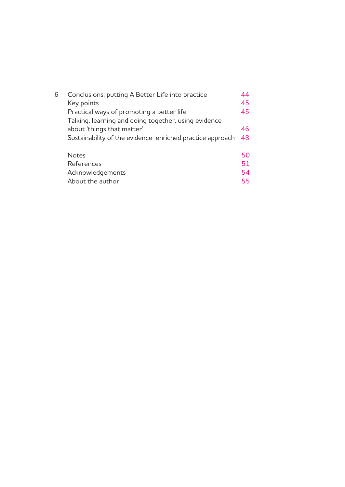| 6 | Conclusions: putting A Better Life into practice          | 44 |
|---|-----------------------------------------------------------|----|
|   | Key points                                                | 45 |
|   | Practical ways of promoting a better life                 | 45 |
|   | Talking, learning and doing together, using evidence      |    |
|   | about 'things that matter'                                | 46 |
|   | Sustainability of the evidence-enriched practice approach | 48 |
|   | <b>Notes</b>                                              | 50 |
|   | References                                                | 51 |
|   | Acknowledgements                                          | 54 |
|   | About the author                                          | 55 |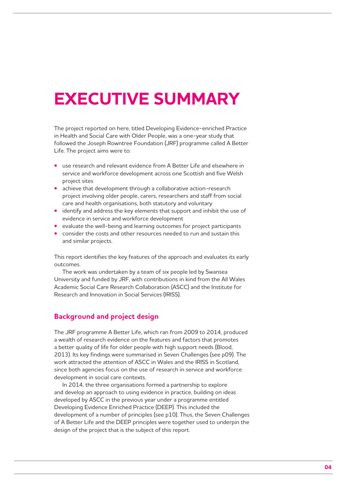## **EXECUTIVE SUMMARY**

The project reported on here, titled Developing Evidence-enriched Practice in Health and Social Care with Older People, was a one-year study that followed the Joseph Rowntree Foundation (JRF) programme called A Better Life. The project aims were to:

- **•** use research and relevant evidence from A Better Life and elsewhere in service and workforce development across one Scottish and five Welsh project sites
- **•** achieve that development through a collaborative action-research project involving older people, carers, researchers and staff from social care and health organisations, both statutory and voluntary
- **•** identify and address the key elements that support and inhibit the use of evidence in service and workforce development
- **•** evaluate the well-being and learning outcomes for project participants
- **•** consider the costs and other resources needed to run and sustain this and similar projects.

This report identifies the key features of the approach and evaluates its early outcomes.

The work was undertaken by a team of six people led by Swansea University and funded by JRF, with contributions in kind from the All Wales Academic Social Care Research Collaboration (ASCC) and the Institute for Research and Innovation in Social Services (IRISS).

## **Background and project design**

The JRF programme A Better Life, which ran from 2009 to 2014, produced a wealth of research evidence on the features and factors that promotes a better quality of life for older people with high support needs (Blood, 2013). Its key findings were summarised in Seven Challenges (see p09). The work attracted the attention of ASCC in Wales and the IRISS in Scotland, since both agencies focus on the use of research in service and workforce development in social care contexts.

In 2014, the three organisations formed a partnership to explore and develop an approach to using evidence in practice, building on ideas developed by ASCC in the previous year under a programme entitled Developing Evidence Enriched Practice (DEEP). This included the development of a number of principles (see p10). Thus, the Seven Challenges of A Better Life and the DEEP principles were together used to underpin the design of the project that is the subject of this report.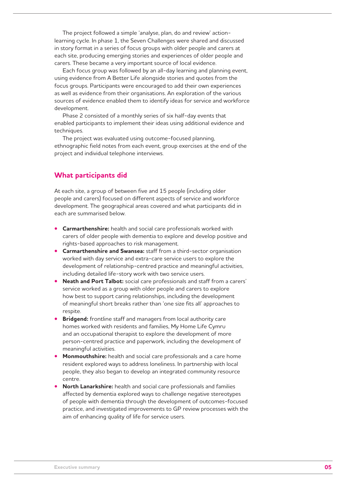The project followed a simple 'analyse, plan, do and review' actionlearning cycle. In phase 1, the Seven Challenges were shared and discussed in story format in a series of focus groups with older people and carers at each site, producing emerging stories and experiences of older people and carers. These became a very important source of local evidence.

Each focus group was followed by an all-day learning and planning event, using evidence from A Better Life alongside stories and quotes from the focus groups. Participants were encouraged to add their own experiences as well as evidence from their organisations. An exploration of the various sources of evidence enabled them to identify ideas for service and workforce development.

Phase 2 consisted of a monthly series of six half-day events that enabled participants to implement their ideas using additional evidence and techniques.

The project was evaluated using outcome-focused planning, ethnographic field notes from each event, group exercises at the end of the project and individual telephone interviews.

## **What participants did**

At each site, a group of between five and 15 people (including older people and carers) focused on different aspects of service and workforce development. The geographical areas covered and what participants did in each are summarised below.

- **• Carmarthenshire:** health and social care professionals worked with carers of older people with dementia to explore and develop positive and rights-based approaches to risk management.
- **• Carmarthenshire and Swansea:** staff from a third-sector organisation worked with day service and extra-care service users to explore the development of relationship-centred practice and meaningful activities, including detailed life-story work with two service users.
- **• Neath and Port Talbot:** social care professionals and staff from a carers' service worked as a group with older people and carers to explore how best to support caring relationships, including the development of meaningful short breaks rather than 'one size fits all' approaches to respite.
- **• Bridgend:** frontline staff and managers from local authority care homes worked with residents and families, My Home Life Cymru and an occupational therapist to explore the development of more person-centred practice and paperwork, including the development of meaningful activities.
- **• Monmouthshire:** health and social care professionals and a care home resident explored ways to address loneliness. In partnership with local people, they also began to develop an integrated community resource centre.
- **• North Lanarkshire:** health and social care professionals and families affected by dementia explored ways to challenge negative stereotypes of people with dementia through the development of outcomes-focused practice, and investigated improvements to GP review processes with the aim of enhancing quality of life for service users.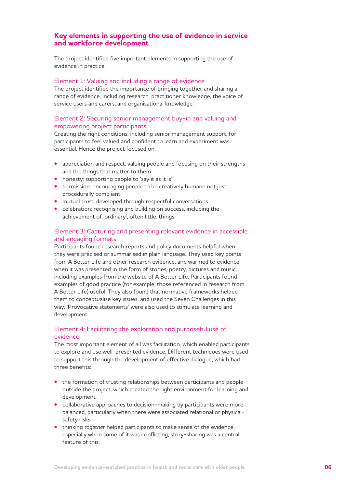## **Key elements in supporting the use of evidence in service and workforce development**

The project identified five important elements in supporting the use of evidence in practice.

#### Element 1: Valuing and including a range of evidence

The project identified the importance of bringing together and sharing a range of evidence, including research, practitioner knowledge, the voice of service users and carers, and organisational knowledge.

#### Element 2: Securing senior management buy-in and valuing and empowering project participants

Creating the right conditions, including senior management support, for participants to feel valued and confident to learn and experiment was essential. Hence the project focused on:

- **•** appreciation and respect: valuing people and focusing on their strengths and the things that matter to them
- **•** honesty: supporting people to 'say it as it is'
- **•** permission: encouraging people to be creatively humane not just procedurally compliant
- **•** mutual trust: developed through respectful conversations
- **•** celebration: recognising and building on success, including the achievement of 'ordinary', often little, things.

### Element 3: Capturing and presenting relevant evidence in accessible and engaging formats

Participants found research reports and policy documents helpful when they were précised or summarised in plain language. They used key points from A Better Life and other research evidence, and warmed to evidence when it was presented in the form of stories, poetry, pictures and music, including examples from the website of A Better Life. Participants found examples of good practice (for example, those referenced in research from A Better Life) useful. They also found that normative frameworks helped them to conceptualise key issues, and used the Seven Challenges in this way. 'Provocative statements' were also used to stimulate learning and development.

## Element 4: Facilitating the exploration and purposeful use of evidence

The most important element of all was facilitation, which enabled participants to explore and use well-presented evidence. Different techniques were used to support this through the development of effective dialogue, which had three benefits:

- **•** the formation of trusting relationships between participants and people outside the project, which created the right environment for learning and development
- **•** collaborative approaches to decision-making by participants were more balanced, particularly when there were associated relational or physicalsafety risks
- **•** thinking *together* helped participants to make sense of the evidence, especially when some of it was conflicting; story-sharing was a central feature of this.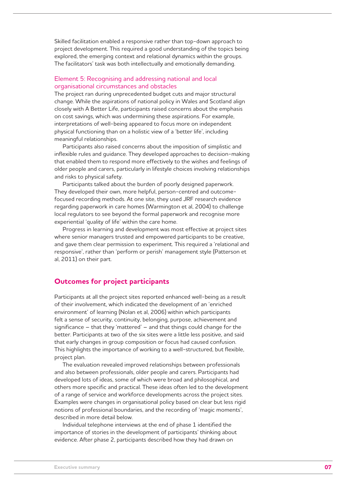Skilled facilitation enabled a responsive rather than top-down approach to project development. This required a good understanding of the topics being explored, the emerging context and relational dynamics within the groups. The facilitators' task was both intellectually and emotionally demanding.

#### Element 5: Recognising and addressing national and local organisational circumstances and obstacles

The project ran during unprecedented budget cuts and major structural change. While the aspirations of national policy in Wales and Scotland align closely with A Better Life, participants raised concerns about the emphasis on cost savings, which was undermining these aspirations. For example, interpretations of well-being appeared to focus more on independent physical functioning than on a holistic view of a 'better life', including meaningful relationships.

Participants also raised concerns about the imposition of simplistic and inflexible rules and guidance. They developed approaches to decision-making that enabled them to respond more effectively to the wishes and feelings of older people and carers, particularly in lifestyle choices involving relationships and risks to physical safety.

Participants talked about the burden of poorly designed paperwork. They developed their own, more helpful, person-centred and outcomefocused recording methods. At one site, they used JRF research evidence regarding paperwork in care homes (Warmington et al, 2004) to challenge local regulators to see beyond the formal paperwork and recognise more experiential 'quality of life' within the care home.

Progress in learning and development was most effective at project sites where senior managers trusted and empowered participants to be creative, and gave them clear permission to experiment. This required a 'relational and responsive', rather than 'perform or perish' management style (Patterson et al, 2011) on their part.

## **Outcomes for project participants**

Participants at all the project sites reported enhanced well-being as a result of their involvement, which indicated the development of an 'enriched environment' of learning (Nolan et al, 2006) within which participants felt a sense of security, continuity, belonging, purpose, achievement and significance – that they 'mattered' – and that things could change for the better. Participants at two of the six sites were a little less positive, and said that early changes in group composition or focus had caused confusion. This highlights the importance of working to a well-structured, but flexible, project plan.

The evaluation revealed improved relationships between professionals and also between professionals, older people and carers. Participants had developed lots of ideas, some of which were broad and philosophical, and others more specific and practical. These ideas often led to the development of a range of service and workforce developments across the project sites. Examples were changes in organisational policy based on clear but less rigid notions of professional boundaries, and the recording of 'magic moments', described in more detail below.

Individual telephone interviews at the end of phase 1 identified the importance of stories in the development of participants' thinking about evidence. After phase 2, participants described how they had drawn on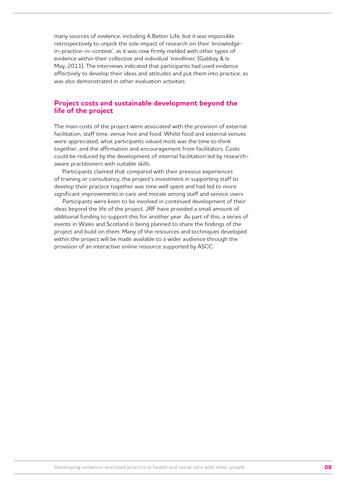many sources of evidence, including A Better Life, but it was impossible retrospectively to unpick the sole impact of research on their 'knowledgein-practice-in-context', as it was now firmly melded with other types of evidence within their collective and individual 'mindlines' (Gabbay & le May, 2011). The interviews indicated that participants had used evidence effectively to develop their ideas and attitudes and put them into practice, as was also demonstrated in other evaluation activities.

### **Project costs and sustainable development beyond the life of the project**

The main costs of the project were associated with the provision of external facilitation, staff time, venue hire and food. Whilst food and external venues were appreciated, what participants valued most was the time to think together, and the affirmation and encouragement from facilitators. Costs could be reduced by the development of internal facilitation led by researchaware practitioners with suitable skills.

Participants claimed that compared with their previous experiences of training or consultancy, the project's investment in supporting staff to develop their practice together was time well spent and had led to more significant improvements in care and morale among staff and service users.

Participants were keen to be involved in continued development of their ideas beyond the life of the project. JRF have provided a small amount of additional funding to support this for another year. As part of this, a series of events in Wales and Scotland is being planned to share the findings of the project and build on them. Many of the resources and techniques developed within the project will be made available to a wider audience through the provision of an interactive online resource supported by ASCC.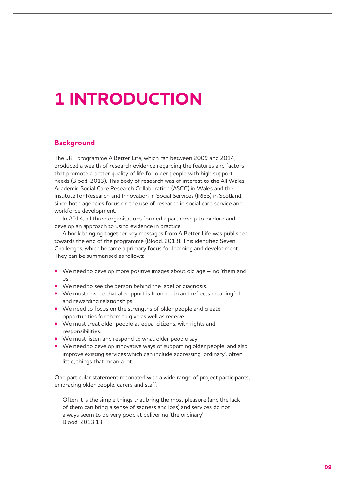# **1 INTRODUCTION**

### **Background**

The JRF programme A Better Life, which ran between 2009 and 2014, produced a wealth of research evidence regarding the features and factors that promote a better quality of life for older people with high support needs (Blood, 2013). This body of research was of interest to the All Wales Academic Social Care Research Collaboration (ASCC) in Wales and the Institute for Research and Innovation in Social Services (IRISS) in Scotland, since both agencies focus on the use of research in social care service and workforce development.

In 2014, all three organisations formed a partnership to explore and develop an approach to using evidence in practice.

A book bringing together key messages from A Better Life was published towards the end of the programme (Blood, 2013). This identified Seven Challenges, which became a primary focus for learning and development. They can be summarised as follows:

- **•** We need to develop more positive images about old age no 'them and  $\overline{\mathsf{u}}$
- **•** We need to see the person behind the label or diagnosis.
- **•** We must ensure that all support is founded in and reflects meaningful and rewarding relationships.
- **•** We need to focus on the strengths of older people and create opportunities for them to give as well as receive.
- **•** We must treat older people as equal citizens, with rights and responsibilities.
- **•** We must listen and respond to what older people say.
- **•** We need to develop innovative ways of supporting older people, and also improve existing services which can include addressing 'ordinary', often little, things that mean a lot.

One particular statement resonated with a wide range of project participants, embracing older people, carers and staff:

Often it is the simple things that bring the most pleasure (and the lack of them can bring a sense of sadness and loss) and services do not always seem to be very good at delivering 'the ordinary'. Blood, 2013:13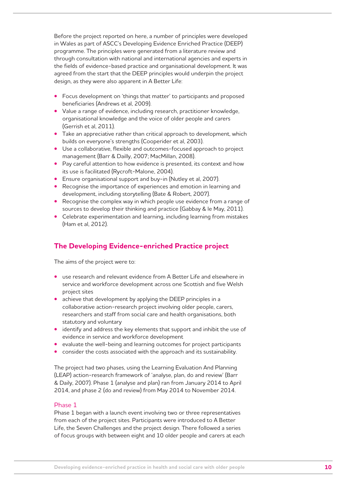Before the project reported on here, a number of principles were developed in Wales as part of ASCC's Developing Evidence Enriched Practice (DEEP) programme. The principles were generated from a literature review and through consultation with national and international agencies and experts in the fields of evidence-based practice and organisational development. It was agreed from the start that the DEEP principles would underpin the project design, as they were also apparent in A Better Life:

- **•** Focus development on 'things that matter' to participants and proposed beneficiaries (Andrews et al, 2009).
- **•** Value a range of evidence, including research, practitioner knowledge, organisational knowledge and the voice of older people and carers (Gerrish et al, 2011).
- **•** Take an appreciative rather than critical approach to development, which builds on everyone's strengths (Cooperider et al, 2003).
- **•** Use a collaborative, flexible and outcomes-focused approach to project management (Barr & Dailly, 2007; MacMillan, 2008).
- **•** Pay careful attention to how evidence is presented, its context and how its use is facilitated (Rycroft-Malone, 2004).
- **•** Ensure organisational support and buy-in (Nutley et al, 2007).
- **•** Recognise the importance of experiences and emotion in learning and development, including storytelling (Bate & Robert, 2007).
- **•** Recognise the complex way in which people use evidence from a range of sources to develop their thinking and practice (Gabbay & le May, 2011).
- **•** Celebrate experimentation and learning, including learning from mistakes (Ham et al, 2012).

## **The Developing Evidence-enriched Practice project**

The aims of the project were to:

- **•** use research and relevant evidence from A Better Life and elsewhere in service and workforce development across one Scottish and five Welsh project sites
- **•** achieve that development by applying the DEEP principles in a collaborative action-research project involving older people, carers, researchers and staff from social care and health organisations, both statutory and voluntary
- **•** identify and address the key elements that support and inhibit the use of evidence in service and workforce development
- **•** evaluate the well-being and learning outcomes for project participants
- **•** consider the costs associated with the approach and its sustainability.

The project had two phases, using the Learning Evaluation And Planning (LEAP) action-research framework of 'analyse, plan, do and review' (Barr & Daily, 2007). Phase 1 (analyse and plan) ran from January 2014 to April 2014, and phase 2 (do and review) from May 2014 to November 2014.

#### Phase 1

Phase 1 began with a launch event involving two or three representatives from each of the project sites. Participants were introduced to A Better Life, the Seven Challenges and the project design. There followed a series of focus groups with between eight and 10 older people and carers at each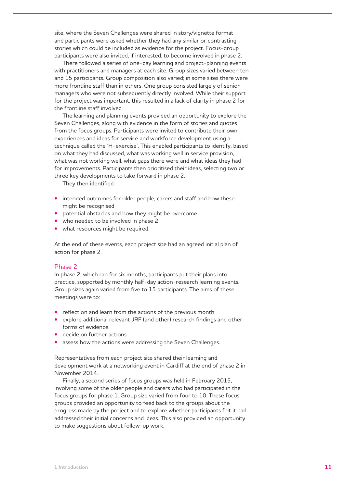site, where the Seven Challenges were shared in story/vignette format and participants were asked whether they had any similar or contrasting stories which could be included as evidence for the project. Focus-group participants were also invited, if interested, to become involved in phase 2.

There followed a series of one-day learning and project-planning events with practitioners and managers at each site. Group sizes varied between ten and 15 participants. Group composition also varied; in some sites there were more frontline staff than in others. One group consisted largely of senior managers who were not subsequently directly involved. While their support for the project was important, this resulted in a lack of clarity in phase 2 for the frontline staff involved.

The learning and planning events provided an opportunity to explore the Seven Challenges, along with evidence in the form of stories and quotes from the focus groups. Participants were invited to contribute their own experiences and ideas for service and workforce development using a technique called the 'H-exercise'. This enabled participants to identify, based on what they had discussed, what was working well in service provision, what was not working well, what gaps there were and what ideas they had for improvements. Participants then prioritised their ideas, selecting two or three key developments to take forward in phase 2.

They then identified:

- **•** intended outcomes for older people, carers and staff and how these might be recognised
- **•** potential obstacles and how they might be overcome
- **•** who needed to be involved in phase 2
- **•** what resources might be required.

At the end of these events, each project site had an agreed initial plan of action for phase 2.

#### Phase 2

In phase 2, which ran for six months, participants put their plans into practice, supported by monthly half-day action-research learning events. Group sizes again varied from five to 15 participants. The aims of these meetings were to:

- **•** reflect on and learn from the actions of the previous month
- **•** explore additional relevant JRF (and other) research findings and other forms of evidence
- **•** decide on further actions
- **•** assess how the actions were addressing the Seven Challenges.

Representatives from each project site shared their learning and development work at a networking event in Cardiff at the end of phase 2 in November 2014.

Finally, a second series of focus groups was held in February 2015, involving some of the older people and carers who had participated in the focus groups for phase 1. Group size varied from four to 10. These focus groups provided an opportunity to feed back to the groups about the progress made by the project and to explore whether participants felt it had addressed their initial concerns and ideas. This also provided an opportunity to make suggestions about follow-up work.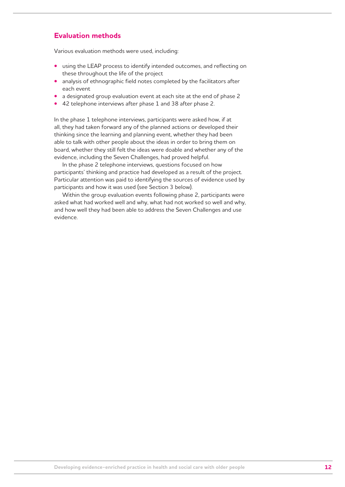## **Evaluation methods**

Various evaluation methods were used, including:

- **•** using the LEAP process to identify intended outcomes, and reflecting on these throughout the life of the project
- **•** analysis of ethnographic field notes completed by the facilitators after each event
- **•** a designated group evaluation event at each site at the end of phase 2
- **•** 42 telephone interviews after phase 1 and 38 after phase 2.

In the phase 1 telephone interviews, participants were asked how, if at all, they had taken forward any of the planned actions or developed their thinking since the learning and planning event, whether they had been able to talk with other people about the ideas in order to bring them on board, whether they still felt the ideas were doable and whether any of the evidence, including the Seven Challenges, had proved helpful.

In the phase 2 telephone interviews, questions focused on how participants' thinking and practice had developed as a result of the project. Particular attention was paid to identifying the sources of evidence used by participants and how it was used (see Section 3 below).

Within the group evaluation events following phase 2, participants were asked what had worked well and why, what had not worked so well and why, and how well they had been able to address the Seven Challenges and use evidence.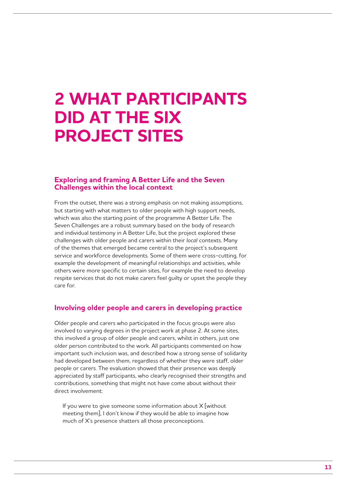## **2 WHAT PARTICIPANTS DID AT THE SIX PROJECT SITES**

## **Exploring and framing A Better Life and the Seven Challenges within the local context**

From the outset, there was a strong emphasis on not making assumptions, but starting with what matters to older people with high support needs, which was also the starting point of the programme A Better Life. The Seven Challenges are a robust summary based on the body of research and individual testimony in A Better Life, but the project explored these challenges with older people and carers within their *local* contexts. Many of the themes that emerged became central to the project's subsequent service and workforce developments. Some of them were cross-cutting, for example the development of meaningful relationships and activities, while others were more specific to certain sites, for example the need to develop respite services that do not make carers feel guilty or upset the people they care for.

### **Involving older people and carers in developing practice**

Older people and carers who participated in the focus groups were also involved to varying degrees in the project work at phase 2. At some sites, this involved a group of older people and carers, whilst in others, just one older person contributed to the work. All participants commented on how important such inclusion was, and described how a strong sense of solidarity had developed between them, regardless of whether they were staff, older people or carers. The evaluation showed that their presence was deeply appreciated by staff participants, who clearly recognised their strengths and contributions, something that might not have come about without their direct involvement:

If you were to give someone some information about  $X$  [without meeting them], I don't know if they would be able to imagine how much of X's presence shatters all those preconceptions.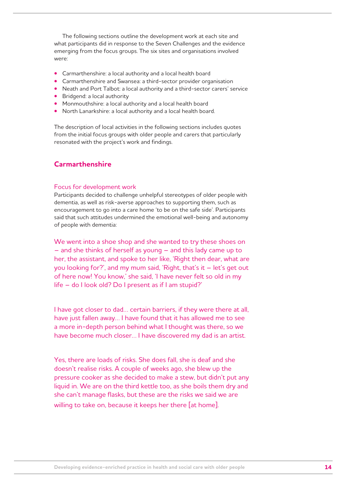The following sections outline the development work at each site and what participants did in response to the Seven Challenges and the evidence emerging from the focus groups. The six sites and organisations involved were:

- **•** Carmarthenshire: a local authority and a local health board
- **•** Carmarthenshire and Swansea: a third-sector provider organisation
- **•** Neath and Port Talbot: a local authority and a third-sector carers' service
- **•** Bridgend: a local authority
- **•** Monmouthshire: a local authority and a local health board
- **•** North Lanarkshire: a local authority and a local health board.

The description of local activities in the following sections includes quotes from the initial focus groups with older people and carers that particularly resonated with the project's work and findings.

## **Carmarthenshire**

#### Focus for development work

Participants decided to challenge unhelpful stereotypes of older people with dementia, as well as risk-averse approaches to supporting them, such as encouragement to go into a care home 'to be on the safe side'. Participants said that such attitudes undermined the emotional well-being and autonomy of people with dementia:

We went into a shoe shop and she wanted to try these shoes on – and she thinks of herself as young – and this lady came up to her, the assistant, and spoke to her like, 'Right then dear, what are you looking for?', and my mum said, 'Right, that's it – let's get out of here now! You know,' she said, 'I have never felt so old in my life – do I look old? Do I present as if I am stupid?'

I have got closer to dad… certain barriers, if they were there at all, have just fallen away… I have found that it has allowed me to see a more in-depth person behind what I thought was there, so we have become much closer... I have discovered my dad is an artist.

Yes, there are loads of risks. She does fall, she is deaf and she doesn't realise risks. A couple of weeks ago, she blew up the pressure cooker as she decided to make a stew, but didn't put any liquid in. We are on the third kettle too, as she boils them dry and she can't manage flasks, but these are the risks we said we are willing to take on, because it keeps her there [at home].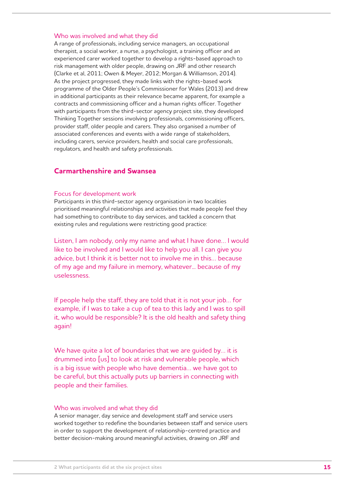#### Who was involved and what they did

A range of professionals, including service managers, an occupational therapist, a social worker, a nurse, a psychologist, a training officer and an experienced carer worked together to develop a rights-based approach to risk management with older people, drawing on JRF and other research (Clarke et al, 2011; Owen & Meyer, 2012; Morgan & Williamson, 2014). As the project progressed, they made links with the rights-based work programme of the Older People's Commissioner for Wales (2013) and drew in additional participants as their relevance became apparent, for example a contracts and commissioning officer and a human rights officer. Together with participants from the third-sector agency project site, they developed Thinking Together sessions involving professionals, commissioning officers, provider staff, older people and carers. They also organised a number of associated conferences and events with a wide range of stakeholders, including carers, service providers, health and social care professionals, regulators, and health and safety professionals.

## **Carmarthenshire and Swansea**

#### Focus for development work

Participants in this third-sector agency organisation in two localities prioritised meaningful relationships and activities that made people feel they had something to contribute to day services, and tackled a concern that existing rules and regulations were restricting good practice:

Listen, I am nobody, only my name and what I have done… I would like to be involved and I would like to help you all. I can give you advice, but I think it is better not to involve me in this… because of my age and my failure in memory, whatever... because of my uselessness.

If people help the staff, they are told that it is not your job… for example, if I was to take a cup of tea to this lady and I was to spill it, who would be responsible? It is the old health and safety thing again!

We have quite a lot of boundaries that we are quided by... it is drummed into [us] to look at risk and vulnerable people, which is a big issue with people who have dementia… we have got to be careful, but this actually puts up barriers in connecting with people and their families.

#### Who was involved and what they did

A senior manager, day service and development staff and service users worked together to redefine the boundaries between staff and service users in order to support the development of relationship-centred practice and better decision-making around meaningful activities, drawing on JRF and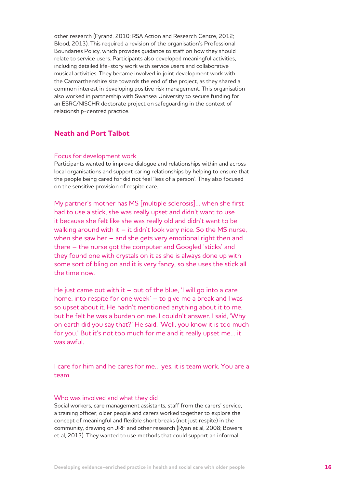other research (Fyrand, 2010; RSA Action and Research Centre, 2012; Blood, 2013). This required a revision of the organisation's Professional Boundaries Policy, which provides guidance to staff on how they should relate to service users. Participants also developed meaningful activities, including detailed life-story work with service users and collaborative musical activities. They became involved in joint development work with the Carmarthenshire site towards the end of the project, as they shared a common interest in developing positive risk management. This organisation also worked in partnership with Swansea University to secure funding for an ESRC/NISCHR doctorate project on safeguarding in the context of relationship-centred practice.

## **Neath and Port Talbot**

#### Focus for development work

Participants wanted to improve dialogue and relationships within and across local organisations and support caring relationships by helping to ensure that the people being cared for did not feel 'less of a person'. They also focused on the sensitive provision of respite care.

My partner's mother has MS [multiple sclerosis]… when she first had to use a stick, she was really upset and didn't want to use it because she felt like she was really old and didn't want to be walking around with it  $-$  it didn't look very nice. So the MS nurse, when she saw her – and she gets very emotional right then and there – the nurse got the computer and Googled 'sticks' and they found one with crystals on it as she is always done up with some sort of bling on and it is very fancy, so she uses the stick all the time now.

He just came out with it  $-$  out of the blue, 'I will go into a care home, into respite for one week' – to give me a break and I was so upset about it. He hadn't mentioned anything about it to me, but he felt he was a burden on me. I couldn't answer. I said, 'Why on earth did you say that?' He said, 'Well, you know it is too much for you.' But it's not too much for me and it really upset me… it was awful.

I care for him and he cares for me… yes, it is team work. You are a team.

#### Who was involved and what they did

Social workers, care management assistants, staff from the carers' service, a training officer, older people and carers worked together to explore the concept of meaningful and flexible short breaks (not just respite) in the community, drawing on JRF and other research (Ryan et al, 2008; Bowers et al, 2013). They wanted to use methods that could support an informal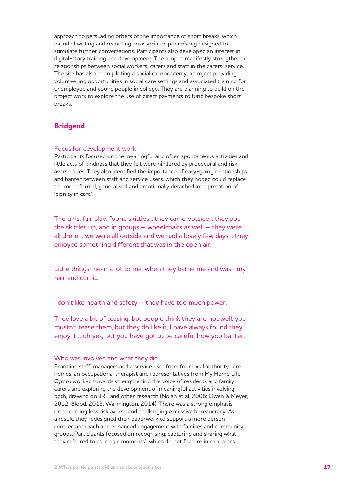approach to persuading others of the importance of short breaks, which included writing and recording an associated poem/song designed to stimulate further conversations. Participants also developed an interest in digital-story training and development. The project manifestly strengthened relationships between social workers, carers and staff in the carers' service. The site has also been piloting a social care academy, a project providing volunteering opportunities in social care settings and associated training for unemployed and young people in college. They are planning to build on the project work to explore the use of direct payments to fund bespoke short breaks.

## **Bridgend**

#### Focus for development work

Participants focused on the meaningful and often spontaneous activities and little acts of kindness that they felt were hindered by procedural and riskaverse rules. They also identified the importance of easy-going relationships and banter between staff and service users, which they hoped could replace the more formal, generalised and emotionally detached interpretation of 'dignity in care'.

The girls, fair play, found skittles... they came outside... they put the skittles up, and in groups  $-$  wheelchairs as well  $-$  they were all there… we were all outside and we had a lovely few days… they enjoyed something different that was in the open air.

Little things mean a lot to me, when they bathe me and wash my hair and curl it.

I don't like health and safety – they have too much power.

They love a bit of teasing, but people think they are not well, you mustn't tease them, but they do like it, I have always found they enjoy it… oh yes, but you have got to be careful how you banter.

#### Who was involved and what they did

Frontline staff, managers and a service user from four local authority care homes, an occupational therapist and representatives from My Home Life Cymru worked towards strengthening the voice of residents and family carers and exploring the development of meaningful activities involving both, drawing on JRF and other research (Nolan et al, 2006; Owen & Meyer, 2012; Blood, 2013; Warmington, 2014). There was a strong emphasis on becoming less risk averse and challenging excessive bureaucracy. As a result, they redesigned their paperwork to support a more personcentred approach and enhanced engagement with families and community groups. Participants focused on recognising, capturing and sharing what they referred to as 'magic moments', which do not feature in care plans.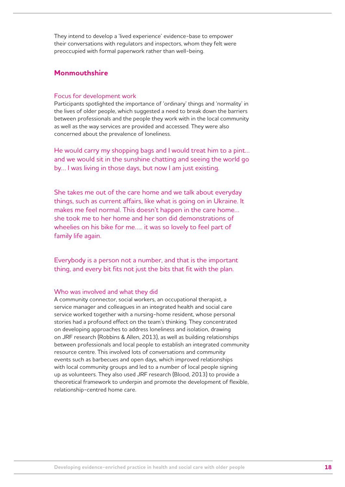They intend to develop a 'lived experience' evidence-base to empower their conversations with regulators and inspectors, whom they felt were preoccupied with formal paperwork rather than well-being.

## **Monmouthshire**

#### Focus for development work

Participants spotlighted the importance of 'ordinary' things and 'normality' in the lives of older people, which suggested a need to break down the barriers between professionals and the people they work with in the local community as well as the way services are provided and accessed. They were also concerned about the prevalence of loneliness.

He would carry my shopping bags and I would treat him to a pint… and we would sit in the sunshine chatting and seeing the world go by… I was living in those days, but now I am just existing.

She takes me out of the care home and we talk about everyday things, such as current affairs, like what is going on in Ukraine. It makes me feel normal. This doesn't happen in the care home… she took me to her home and her son did demonstrations of wheelies on his bike for me….. it was so lovely to feel part of family life again.

Everybody is a person not a number, and that is the important thing, and every bit fits not just the bits that fit with the plan.

#### Who was involved and what they did

A community connector, social workers, an occupational therapist, a service manager and colleagues in an integrated health and social care service worked together with a nursing-home resident, whose personal stories had a profound effect on the team's thinking. They concentrated on developing approaches to address loneliness and isolation, drawing on JRF research (Robbins & Allen, 2013), as well as building relationships between professionals and local people to establish an integrated community resource centre. This involved lots of conversations and community events such as barbecues and open days, which improved relationships with local community groups and led to a number of local people signing up as volunteers. They also used JRF research (Blood, 2013) to provide a theoretical framework to underpin and promote the development of flexible, relationship-centred home care.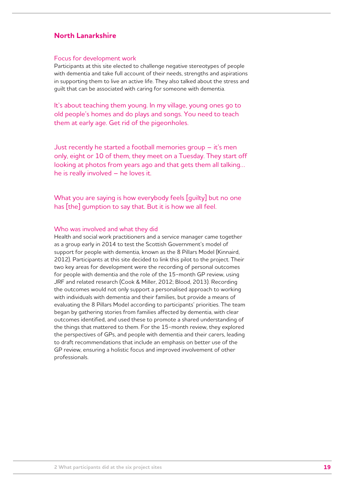## **North Lanarkshire**

#### Focus for development work

Participants at this site elected to challenge negative stereotypes of people with dementia and take full account of their needs, strengths and aspirations in supporting them to live an active life. They also talked about the stress and guilt that can be associated with caring for someone with dementia.

It's about teaching them young. In my village, young ones go to old people's homes and do plays and songs. You need to teach them at early age. Get rid of the pigeonholes.

Just recently he started a football memories group – it's men only, eight or 10 of them, they meet on a Tuesday. They start off looking at photos from years ago and that gets them all talking… he is really involved – he loves it.

What you are saying is how everybody feels [guilty] but no one has [the] gumption to say that. But it is how we all feel.

#### Who was involved and what they did

Health and social work practitioners and a service manager came together as a group early in 2014 to test the Scottish Government's model of support for people with dementia, known as the 8 Pillars Model (Kinnaird, 2012). Participants at this site decided to link this pilot to the project. Their two key areas for development were the recording of personal outcomes for people with dementia and the role of the 15-month GP review, using JRF and related research (Cook & Miller, 2012; Blood, 2013). Recording the outcomes would not only support a personalised approach to working with individuals with dementia and their families, but provide a means of evaluating the 8 Pillars Model according to participants' priorities. The team began by gathering stories from families affected by dementia, with clear outcomes identified, and used these to promote a shared understanding of the things that mattered to them. For the 15-month review, they explored the perspectives of GPs, and people with dementia and their carers, leading to draft recommendations that include an emphasis on better use of the GP review, ensuring a holistic focus and improved involvement of other professionals.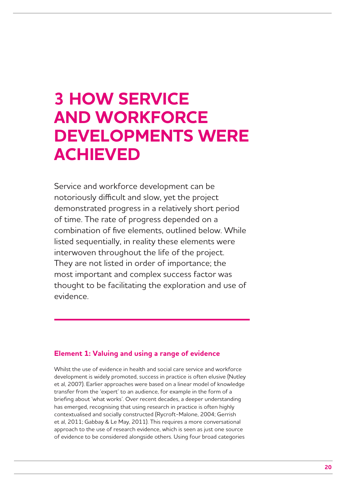## **3 HOW SERVICE AND WORKFORCE DEVELOPMENTS WERE ACHIEVED**

Service and workforce development can be notoriously difficult and slow, yet the project demonstrated progress in a relatively short period of time. The rate of progress depended on a combination of five elements, outlined below. While listed sequentially, in reality these elements were interwoven throughout the life of the project. They are not listed in order of importance; the most important and complex success factor was thought to be facilitating the exploration and use of evidence.

## **Element 1: Valuing and using a range of evidence**

Whilst the use of evidence in health and social care service and workforce development is widely promoted, success in practice is often elusive (Nutley et al, 2007). Earlier approaches were based on a linear model of knowledge transfer from the 'expert' to an audience, for example in the form of a briefing about 'what works'. Over recent decades, a deeper understanding has emerged, recognising that using research in practice is often highly contextualised and socially constructed (Rycroft-Malone, 2004; Gerrish et al, 2011; Gabbay & Le May, 2011). This requires a more conversational approach to the use of research evidence, which is seen as just one source of evidence to be considered alongside others. Using four broad categories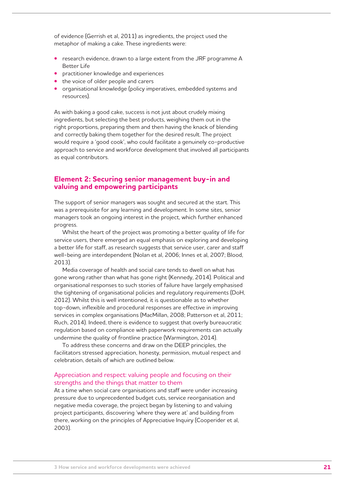of evidence (Gerrish et al, 2011) as ingredients, the project used the metaphor of making a cake. These ingredients were:

- **•** research evidence, drawn to a large extent from the JRF programme A Better Life
- **•** practitioner knowledge and experiences
- **•** the voice of older people and carers
- **•** organisational knowledge (policy imperatives, embedded systems and resources).

As with baking a good cake, success is not just about crudely mixing ingredients, but selecting the best products, weighing them out in the right proportions, preparing them and then having the knack of blending and correctly baking them together for the desired result. The project would require a 'good cook', who could facilitate a genuinely co-productive approach to service and workforce development that involved all participants as equal contributors.

#### **Element 2: Securing senior management buy-in and valuing and empowering participants**

The support of senior managers was sought and secured at the start. This was a prerequisite for any learning and development. In some sites, senior managers took an ongoing interest in the project, which further enhanced progress.

Whilst the heart of the project was promoting a better quality of life for service users, there emerged an equal emphasis on exploring and developing a better life for staff, as research suggests that service user, carer and staff well-being are interdependent (Nolan et al, 2006; Innes et al, 2007; Blood, 2013).

Media coverage of health and social care tends to dwell on what has gone wrong rather than what has gone right (Kennedy, 2014). Political and organisational responses to such stories of failure have largely emphasised the tightening of organisational policies and regulatory requirements (DoH, 2012). Whilst this is well intentioned, it is questionable as to whether top-down, inflexible and procedural responses are effective in improving services in complex organisations (MacMillan, 2008; Patterson et al, 2011; Ruch, 2014). Indeed, there is evidence to suggest that overly bureaucratic regulation based on compliance with paperwork requirements can actually undermine the quality of frontline practice (Warmington, 2014).

To address these concerns and draw on the DEEP principles, the facilitators stressed appreciation, honesty, permission, mutual respect and celebration, details of which are outlined below.

#### Appreciation and respect: valuing people and focusing on their strengths and the things that matter to them

At a time when social care organisations and staff were under increasing pressure due to unprecedented budget cuts, service reorganisation and negative media coverage, the project began by listening to and valuing project participants, discovering 'where they were at' and building from there, working on the principles of Appreciative Inquiry (Cooperider et al, 2003).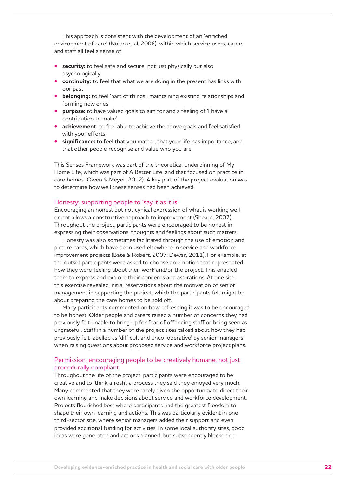This approach is consistent with the development of an 'enriched environment of care' (Nolan et al, 2006), within which service users, carers and staff all feel a sense of:

- **• security:** to feel safe and secure, not just physically but also psychologically
- **• continuity:** to feel that what we are doing in the present has links with our past
- **• belonging:** to feel 'part of things', maintaining existing relationships and forming new ones
- **• purpose:** to have valued goals to aim for and a feeling of 'I have a contribution to make'
- **• achievement:** to feel able to achieve the above goals and feel satisfied with your efforts
- **• significance:** to feel that you matter, that your life has importance, and that other people recognise and value who you are.

This Senses Framework was part of the theoretical underpinning of My Home Life, which was part of A Better Life, and that focused on practice in care homes (Owen & Meyer, 2012). A key part of the project evaluation was to determine how well these senses had been achieved.

#### Honesty: supporting people to 'say it as it is'

Encouraging an honest but not cynical expression of what is working well or not allows a constructive approach to improvement (Sheard, 2007). Throughout the project, participants were encouraged to be honest in expressing their observations, thoughts and feelings about such matters.

Honesty was also sometimes facilitated through the use of emotion and picture cards, which have been used elsewhere in service and workforce improvement projects (Bate & Robert, 2007; Dewar, 2011). For example, at the outset participants were asked to choose an emotion that represented how they were feeling about their work and/or the project. This enabled them to express and explore their concerns and aspirations. At one site, this exercise revealed initial reservations about the motivation of senior management in supporting the project, which the participants felt might be about preparing the care homes to be sold off.

Many participants commented on how refreshing it was to be encouraged to be honest. Older people and carers raised a number of concerns they had previously felt unable to bring up for fear of offending staff or being seen as ungrateful. Staff in a number of the project sites talked about how they had previously felt labelled as 'difficult and unco-operative' by senior managers when raising questions about proposed service and workforce project plans.

#### Permission: encouraging people to be creatively humane, not just procedurally compliant

Throughout the life of the project, participants were encouraged to be creative and to 'think afresh', a process they said they enjoyed very much. Many commented that they were rarely given the opportunity to direct their own learning and make decisions about service and workforce development. Projects flourished best where participants had the greatest freedom to shape their own learning and actions. This was particularly evident in one third-sector site, where senior managers added their support and even provided additional funding for activities. In some local authority sites, good ideas were generated and actions planned, but subsequently blocked or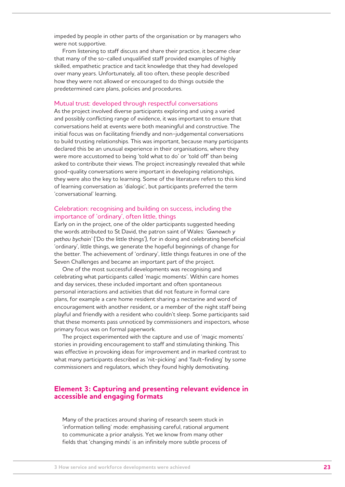impeded by people in other parts of the organisation or by managers who were not supportive.

From listening to staff discuss and share their practice, it became clear that many of the so-called unqualified staff provided examples of highly skilled, empathetic practice and tacit knowledge that they had developed over many years. Unfortunately, all too often, these people described how they were not allowed or encouraged to do things outside the predetermined care plans, policies and procedures.

#### Mutual trust: developed through respectful conversations

As the project involved diverse participants exploring and using a varied and possibly conflicting range of evidence, it was important to ensure that conversations held at events were both meaningful and constructive. The initial focus was on facilitating friendly and non-judgemental conversations to build trusting relationships. This was important, because many participants declared this be an unusual experience in their organisations, where they were more accustomed to being 'told what to do' or 'told off' than being asked to contribute their views. The project increasingly revealed that while good-quality conversations were important in developing relationships, they were also the key to learning. Some of the literature refers to this kind of learning conversation as 'dialogic', but participants preferred the term 'conversational' learning.

#### Celebration: recognising and building on success, including the importance of 'ordinary', often little, things

Early on in the project, one of the older participants suggested heeding the words attributed to St David, the patron saint of Wales: *'Gwnewch y pethau bychain'* ('Do the little things'), for in doing and celebrating beneficial 'ordinary', little things, we generate the hopeful beginnings of change for the better. The achievement of 'ordinary', little things features in one of the Seven Challenges and became an important part of the project.

One of the most successful developments was recognising and celebrating what participants called 'magic moments'. Within care homes and day services, these included important and often spontaneous personal interactions and activities that did not feature in formal care plans, for example a care home resident sharing a nectarine and word of encouragement with another resident, or a member of the night staff being playful and friendly with a resident who couldn't sleep. Some participants said that these moments pass unnoticed by commissioners and inspectors, whose primary focus was on formal paperwork.

The project experimented with the capture and use of 'magic moments' stories in providing encouragement to staff and stimulating thinking. This was effective in provoking ideas for improvement and in marked contrast to what many participants described as 'nit-picking' and 'fault-finding' by some commissioners and regulators, which they found highly demotivating.

#### **Element 3: Capturing and presenting relevant evidence in accessible and engaging formats**

Many of the practices around sharing of research seem stuck in 'information telling' mode: emphasising careful, rational argument to communicate a prior analysis. Yet we know from many other fields that 'changing minds' is an infinitely more subtle process of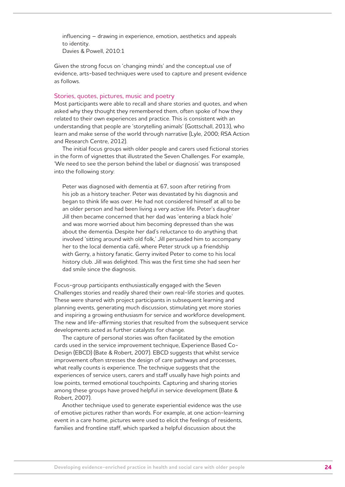influencing – drawing in experience, emotion, aesthetics and appeals to identity. Davies & Powell, 2010:1

Given the strong focus on 'changing minds' and the conceptual use of evidence, arts-based techniques were used to capture and present evidence as follows.

#### Stories, quotes, pictures, music and poetry

Most participants were able to recall and share stories and quotes, and when asked why they thought they remembered them, often spoke of how they related to their own experiences and practice. This is consistent with an understanding that people are 'storytelling animals' (Gottschall, 2013), who learn and make sense of the world through narrative (Lyle, 2000; RSA Action and Research Centre, 2012).

The initial focus groups with older people and carers used fictional stories in the form of vignettes that illustrated the Seven Challenges. For example, 'We need to see the person behind the label or diagnosis' was transposed into the following story:

Peter was diagnosed with dementia at 67, soon after retiring from his job as a history teacher. Peter was devastated by his diagnosis and began to think life was over. He had not considered himself at all to be an older person and had been living a very active life. Peter's daughter Jill then became concerned that her dad was 'entering a black hole' and was more worried about him becoming depressed than she was about the dementia. Despite her dad's reluctance to do anything that involved 'sitting around with old folk,' Jill persuaded him to accompany her to the local dementia café, where Peter struck up a friendship with Gerry, a history fanatic. Gerry invited Peter to come to his local history club. Jill was delighted. This was the first time she had seen her dad smile since the diagnosis.

Focus-group participants enthusiastically engaged with the Seven Challenges stories and readily shared their own real-life stories and quotes. These were shared with project participants in subsequent learning and planning events, generating much discussion, stimulating yet more stories and inspiring a growing enthusiasm for service and workforce development. The new and life-affirming stories that resulted from the subsequent service developments acted as further catalysts for change.

The capture of personal stories was often facilitated by the emotion cards used in the service improvement technique, Experience Based Co-Design (EBCD) (Bate & Robert, 2007). EBCD suggests that whilst service improvement often stresses the design of care pathways and processes, what really counts is experience. The technique suggests that the experiences of service users, carers and staff usually have high points and low points, termed emotional touchpoints. Capturing and sharing stories among these groups have proved helpful in service development (Bate & Robert, 2007).

Another technique used to generate experiential evidence was the use of emotive pictures rather than words. For example, at one action-learning event in a care home, pictures were used to elicit the feelings of residents, families and frontline staff, which sparked a helpful discussion about the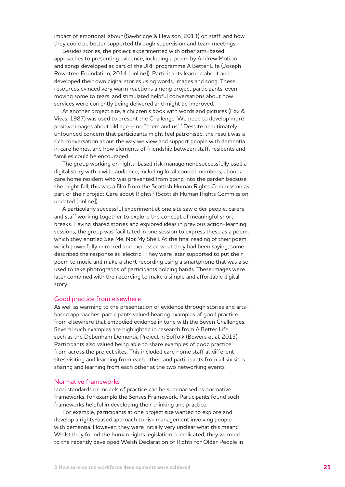impact of emotional labour (Sawbridge & Hewison, 2013) on staff, and how they could be better supported through supervision and team meetings.

Besides stories, the project experimented with other arts-based approaches to presenting evidence, including a poem by Andrew Motion and songs developed as part of the JRF programme A Better Life (Joseph Rowntree Foundation, 2014 [online]). Participants learned about and developed their own digital stories using words, images and song. These resources evinced very warm reactions among project participants, even moving some to tears, and stimulated helpful conversations about how services were currently being delivered and might be improved.

At another project site, a children's book with words and pictures (Fox & Vivas, 1987) was used to present the Challenge 'We need to develop more positive images about old age – no "them and us".' Despite an ultimately unfounded concern that participants might feel patronised, the result was a rich conversation about the way we view and support people with dementia in care homes, and how elements of friendship between staff, residents and families could be encouraged.

The group working on rights-based risk management successfully used a digital story with a wide audience, including local council members, about a care home resident who was prevented from going into the garden because she might fall; this was a film from the Scottish Human Rights Commission as part of their project Care about Rights? (Scottish Human Rights Commission, undated [online]).

A particularly successful experiment at one site saw older people, carers and staff working together to explore the concept of meaningful short breaks. Having shared stories and explored ideas in previous action-learning sessions, the group was facilitated in one session to express these as a poem, which they entitled See Me, Not My Shell. At the final reading of their poem, which powerfully mirrored and expressed what they had been saying, some described the response as 'electric'. They were later supported to put their poem to music and make a short recording using a smartphone that was also used to take photographs of participants holding hands. These images were later combined with the recording to make a simple and affordable digital story.

#### Good practice from elsewhere

As well as warming to the presentation of evidence through stories and artsbased approaches, participants valued hearing examples of good practice from elsewhere that embodied evidence in tune with the Seven Challenges. Several such examples are highlighted in research from A Better Life, such as the Debenham Dementia Project in Suffolk (Bowers et al, 2013). Participants also valued being able to share examples of good practice from across the project sites. This included care home staff at different sites visiting and learning from each other, and participants from all six sites sharing and learning from each other at the two networking events.

#### Normative frameworks

Ideal standards or models of practice can be summarised as normative frameworks, for example the Senses Framework. Participants found such frameworks helpful in developing their thinking and practice.

For example, participants at one project site wanted to explore and develop a rights-based approach to risk management involving people with dementia. However, they were initially very unclear what this meant. Whilst they found the human rights legislation complicated, they warmed to the recently developed Welsh Declaration of Rights for Older People in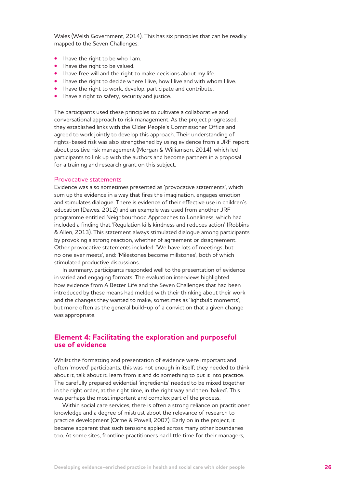Wales (Welsh Government, 2014). This has six principles that can be readily mapped to the Seven Challenges:

- **•** I have the right to be who I am.
- **•** I have the right to be valued.
- **•** I have free will and the right to make decisions about my life.
- **•** I have the right to decide where I live, how I live and with whom I live.
- **•** I have the right to work, develop, participate and contribute.
- **•** I have a right to safety, security and justice.

The participants used these principles to cultivate a collaborative and conversational approach to risk management. As the project progressed, they established links with the Older People's Commissioner Office and agreed to work jointly to develop this approach. Their understanding of rights-based risk was also strengthened by using evidence from a JRF report about positive risk management (Morgan & Williamson, 2014), which led participants to link up with the authors and become partners in a proposal for a training and research grant on this subject.

#### Provocative statements

Evidence was also sometimes presented as 'provocative statements', which sum up the evidence in a way that fires the imagination, engages emotion and stimulates dialogue. There is evidence of their effective use in children's education (Dawes, 2012) and an example was used from another JRF programme entitled Neighbourhood Approaches to Loneliness, which had included a finding that 'Regulation kills kindness and reduces action' (Robbins & Allen, 2013). This statement always stimulated dialogue among participants by provoking a strong reaction, whether of agreement or disagreement. Other provocative statements included: 'We have lots of meetings, but no one ever meets', and: 'Milestones become millstones', both of which stimulated productive discussions.

In summary, participants responded well to the presentation of evidence in varied and engaging formats. The evaluation interviews highlighted how evidence from A Better Life and the Seven Challenges that had been introduced by these means had melded with their thinking about their work and the changes they wanted to make, sometimes as 'lightbulb moments', but more often as the general build-up of a conviction that a given change was appropriate.

#### **Element 4: Facilitating the exploration and purposeful use of evidence**

Whilst the formatting and presentation of evidence were important and often 'moved' participants, this was not enough in itself; they needed to think about it, talk about it, learn from it and do something to put it into practice. The carefully prepared evidential 'ingredients' needed to be mixed together in the right order, at the right time, in the right way and then 'baked'. This was perhaps the most important and complex part of the process.

Within social care services, there is often a strong reliance on practitioner knowledge and a degree of mistrust about the relevance of research to practice development (Orme & Powell, 2007). Early on in the project, it became apparent that such tensions applied across many other boundaries too. At some sites, frontline practitioners had little time for their managers,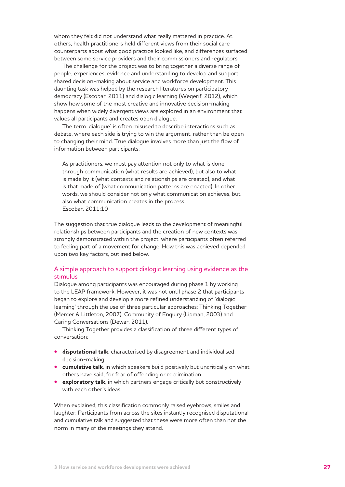whom they felt did not understand what really mattered in practice. At others, health practitioners held different views from their social care counterparts about what good practice looked like, and differences surfaced between some service providers and their commissioners and regulators.

The challenge for the project was to bring together a diverse range of people, experiences, evidence and understanding to develop and support shared decision-making about service and workforce development. This daunting task was helped by the research literatures on participatory democracy (Escobar, 2011) and dialogic learning (Wegerif, 2012), which show how some of the most creative and innovative decision-making happens when widely divergent views are explored in an environment that values all participants and creates open dialogue.

The term 'dialogue' is often misused to describe interactions such as debate, where each side is trying to win the argument, rather than be open to changing their mind. True dialogue involves more than just the flow of information between participants:

As practitioners, we must pay attention not only to what is done through communication (what results are achieved), but also to what is made by it (what contexts and relationships are created), and what is that made of (what communication patterns are enacted). In other words, we should consider not only what communication achieves, but also what communication creates in the process. Escobar, 2011:10

The suggestion that true dialogue leads to the development of meaningful relationships between participants and the creation of new contexts was strongly demonstrated within the project, where participants often referred to feeling part of a movement for change. How this was achieved depended upon two key factors, outlined below.

#### A simple approach to support dialogic learning using evidence as the stimulus

Dialogue among participants was encouraged during phase 1 by working to the LEAP framework. However, it was not until phase 2 that participants began to explore and develop a more refined understanding of 'dialogic learning' through the use of three particular approaches: Thinking Together (Mercer & Littleton, 2007), Community of Enquiry (Lipman, 2003) and Caring Conversations (Dewar, 2011).

Thinking Together provides a classification of three different types of conversation:

- **• disputational talk**, characterised by disagreement and individualised decision-making
- **• cumulative talk**, in which speakers build positively but uncritically on what others have said, for fear of offending or recrimination
- **• exploratory talk**, in which partners engage critically but constructively with each other's ideas.

When explained, this classification commonly raised eyebrows, smiles and laughter. Participants from across the sites instantly recognised disputational and cumulative talk and suggested that these were more often than not the norm in many of the meetings they attend.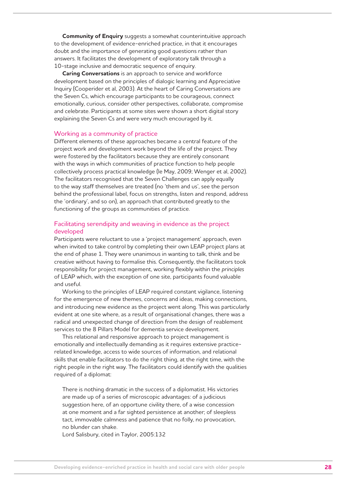**Community of Enquiry** suggests a somewhat counterintuitive approach to the development of evidence-enriched practice, in that it encourages doubt and the importance of generating good questions rather than answers. It facilitates the development of exploratory talk through a 10-stage inclusive and democratic sequence of enquiry.

**Caring Conversations** is an approach to service and workforce development based on the principles of dialogic learning and Appreciative Inquiry (Cooperider et al, 2003). At the heart of Caring Conversations are the Seven Cs, which encourage participants to be courageous, connect emotionally, curious, consider other perspectives, collaborate, compromise and celebrate. Participants at some sites were shown a short digital story explaining the Seven Cs and were very much encouraged by it.

#### Working as a community of practice

Different elements of these approaches became a central feature of the project work and development work beyond the life of the project. They were fostered by the facilitators because they are entirely consonant with the ways in which communities of practice function to help people collectively process practical knowledge (le May, 2009; Wenger et al, 2002). The facilitators recognised that the Seven Challenges can apply equally to the way staff themselves are treated (no 'them and us', see the person behind the professional label, focus on strengths, listen and respond, address the 'ordinary', and so on), an approach that contributed greatly to the functioning of the groups as communities of practice.

#### Facilitating serendipity and weaving in evidence as the project developed

Participants were reluctant to use a 'project management' approach, even when invited to take control by completing their own LEAP project plans at the end of phase 1. They were unanimous in wanting to talk, think and be creative without having to formalise this. Consequently, the facilitators took responsibility for project management, working flexibly within the *principles*  of LEAP which, with the exception of one site, participants found valuable and useful.

Working to the principles of LEAP required constant vigilance, listening for the emergence of new themes, concerns and ideas, making connections, and introducing new evidence as the project went along. This was particularly evident at one site where, as a result of organisational changes, there was a radical and unexpected change of direction from the design of reablement services to the 8 Pillars Model for dementia service development.

This relational and responsive approach to project management is emotionally and intellectually demanding as it requires extensive practicerelated knowledge, access to wide sources of information, and relational skills that enable facilitators to do the right thing, at the right time, with the right people in the right way. The facilitators could identify with the qualities required of a diplomat:

There is nothing dramatic in the success of a diplomatist. His victories are made up of a series of microscopic advantages: of a judicious suggestion here, of an opportune civility there, of a wise concession at one moment and a far sighted persistence at another; of sleepless tact, immovable calmness and patience that no folly, no provocation, no blunder can shake.

Lord Salisbury, cited in Taylor, 2005:132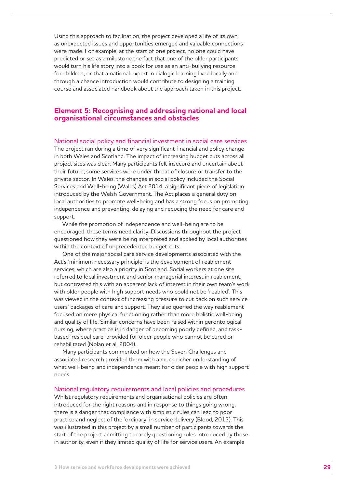Using this approach to facilitation, the project developed a life of its own, as unexpected issues and opportunities emerged and valuable connections were made. For example, at the start of one project, no one could have predicted or set as a milestone the fact that one of the older participants would turn his life story into a book for use as an anti-bullying resource for children, or that a national expert in dialogic learning lived locally and through a chance introduction would contribute to designing a training course and associated handbook about the approach taken in this project.

#### **Element 5: Recognising and addressing national and local organisational circumstances and obstacles**

#### National social policy and financial investment in social care services

The project ran during a time of very significant financial and policy change in both Wales and Scotland. The impact of increasing budget cuts across all project sites was clear. Many participants felt insecure and uncertain about their future; some services were under threat of closure or transfer to the private sector. In Wales, the changes in social policy included the Social Services and Well-being (Wales) Act 2014, a significant piece of legislation introduced by the Welsh Government. The Act places a general duty on local authorities to promote well-being and has a strong focus on promoting independence and preventing, delaying and reducing the need for care and support.

While the promotion of independence and well-being are to be encouraged, these terms need clarity. Discussions throughout the project questioned how they were being interpreted and applied by local authorities within the context of unprecedented budget cuts.

One of the major social care service developments associated with the Act's 'minimum necessary principle' is the development of reablement services, which are also a priority in Scotland. Social workers at one site referred to local investment and senior managerial interest in reablement, but contrasted this with an apparent lack of interest in their own team's work with older people with high support needs who could not be 'reabled'. This was viewed in the context of increasing pressure to cut back on such service users' packages of care and support. They also queried the way reablement focused on mere physical functioning rather than more holistic well-being and quality of life. Similar concerns have been raised within gerontological nursing, where practice is in danger of becoming poorly defined, and taskbased 'residual care' provided for older people who cannot be cured or rehabilitated (Nolan et al, 2004).

Many participants commented on how the Seven Challenges and associated research provided them with a much richer understanding of what well-being and independence meant for older people with high support needs.

#### National regulatory requirements and local policies and procedures

Whilst regulatory requirements and organisational policies are often introduced for the right reasons and in response to things going wrong, there is a danger that compliance with simplistic rules can lead to poor practice and neglect of the 'ordinary' in service delivery (Blood, 2013). This was illustrated in this project by a small number of participants towards the start of the project admitting to rarely questioning rules introduced by those in authority, even if they limited quality of life for service users. An example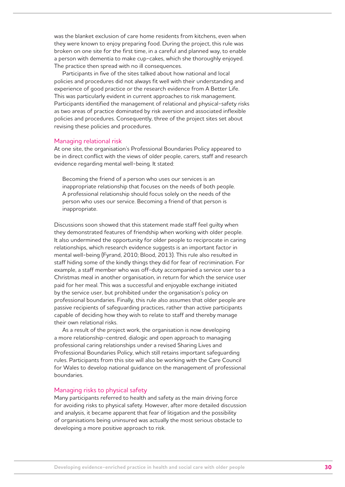was the blanket exclusion of care home residents from kitchens, even when they were known to enjoy preparing food. During the project, this rule was broken on one site for the first time, in a careful and planned way, to enable a person with dementia to make cup-cakes, which she thoroughly enjoyed. The practice then spread with no ill consequences.

Participants in five of the sites talked about how national and local policies and procedures did not always fit well with their understanding and experience of good practice or the research evidence from A Better Life. This was particularly evident in current approaches to risk management. Participants identified the management of relational and physical-safety risks as two areas of practice dominated by risk aversion and associated inflexible policies and procedures. Consequently, three of the project sites set about revising these policies and procedures.

#### Managing relational risk

At one site, the organisation's Professional Boundaries Policy appeared to be in direct conflict with the views of older people, carers, staff and research evidence regarding mental well-being. It stated:

Becoming the friend of a person who uses our services is an inappropriate relationship that focuses on the needs of both people. A professional relationship should focus solely on the needs of the person who uses our service. Becoming a friend of that person is inappropriate.

Discussions soon showed that this statement made staff feel guilty when they demonstrated features of friendship when working with older people. It also undermined the opportunity for older people to reciprocate in caring relationships, which research evidence suggests is an important factor in mental well-being (Fyrand, 2010; Blood, 2013). This rule also resulted in staff hiding some of the kindly things they did for fear of recrimination. For example, a staff member who was off-duty accompanied a service user to a Christmas meal in another organisation, in return for which the service user paid for her meal. This was a successful and enjoyable exchange initiated by the service user, but prohibited under the organisation's policy on professional boundaries. Finally, this rule also assumes that older people are passive recipients of safeguarding practices, rather than active participants capable of deciding how they wish to relate to staff and thereby manage their own relational risks.

As a result of the project work, the organisation is now developing a more relationship-centred, dialogic and open approach to managing professional caring relationships under a revised Sharing Lives and Professional Boundaries Policy, which still retains important safeguarding rules. Participants from this site will also be working with the Care Council for Wales to develop national guidance on the management of professional boundaries.

#### Managing risks to physical safety

Many participants referred to health and safety as the main driving force for avoiding risks to physical safety. However, after more detailed discussion and analysis, it became apparent that fear of litigation and the possibility of organisations being uninsured was actually the most serious obstacle to developing a more positive approach to risk.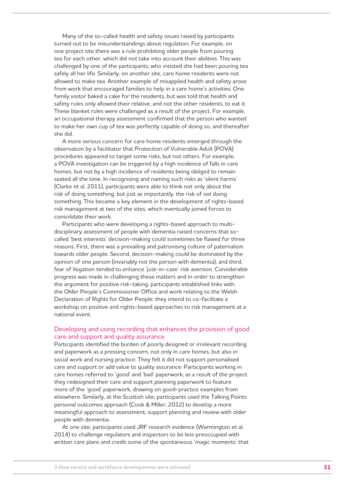Many of the so-called health and safety issues raised by participants turned out to be misunderstandings about regulation. For example, on one project site there was a rule prohibiting older people from pouring tea for each other, which did not take into account their abilities. This was challenged by one of the participants, who insisted she had been pouring tea safely all her life. Similarly, on another site, care home residents were not allowed to make tea. Another example of misapplied health and safety arose from work that encouraged families to help in a care home's activities. One family visitor baked a cake for the residents, but was told that health and safety rules only allowed their relative, and not the other residents, to eat it. These blanket rules were challenged as a result of the project. For example, an occupational therapy assessment confirmed that the person who wanted to make her own cup of tea was perfectly capable of doing so, and thereafter she did.

A more serious concern for care home residents emerged through the observation by a facilitator that Protection of Vulnerable Adult (POVA) procedures appeared to target some risks, but not others. For example, a POVA investigation can be triggered by a high incidence of falls in care homes, but not by a high incidence of residents being obliged to remain seated all the time. In recognising and naming such risks as 'silent harms' (Clarke et al, 2011), participants were able to think not only about the risk of doing something, but just as importantly, the risk of *not* doing something. This became a key element in the development of rights-based risk management at two of the sites, which eventually joined forces to consolidate their work.

Participants who were developing a rights-based approach to multidisciplinary assessment of people with dementia raised concerns that socalled 'best interests' decision-making could sometimes be flawed for three reasons. First, there was a prevailing and patronising culture of paternalism towards older people. Second, decision-making could be dominated by the opinion of one person (invariably not the person with dementia), and third, fear of litigation tended to enhance 'just-in-case' risk aversion. Considerable progress was made in challenging these matters and in order to strengthen the argument for positive risk-taking, participants established links with the Older People's Commissioner Office and work relating to the Welsh Declaration of Rights for Older People; they intend to co-facilitate a workshop on positive and rights-based approaches to risk management at a national event.

#### Developing and using recording that enhances the provision of good care and support and quality assurance

Participants identified the burden of poorly designed or irrelevant recording and paperwork as a pressing concern, not only in care homes, but also in social work and nursing practice. They felt it did not support personalised care and support or add value to quality assurance. Participants working in care homes referred to 'good' and 'bad' paperwork; as a result of the project they redesigned their care and support planning paperwork to feature more of the 'good' paperwork, drawing on good-practice examples from elsewhere. Similarly, at the Scottish site, participants used the Talking Points personal outcomes approach (Cook & Miller, 2012) to develop a more meaningful approach to assessment, support planning and review with older people with dementia.

At one site, participants used JRF research evidence (Warmington et al, 2014) to challenge regulators and inspectors to be less preoccupied with written care plans and credit some of the spontaneous 'magic moments' that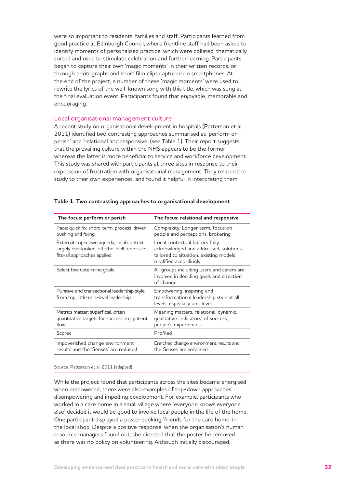were so important to residents, families and staff. Participants learned from good practice at Edinburgh Council, where frontline staff had been asked to identify moments of personalised practice, which were collated, thematically sorted and used to stimulate celebration and further learning. Participants began to capture their own 'magic moments' in their written records, or through photographs and short film clips captured on smartphones. At the end of the project, a number of these 'magic moments' were used to rewrite the lyrics of the well-known song with this title, which was sung at the final evaluation event. Participants found that enjoyable, memorable and encouraging.

#### Local organisational management culture

A recent study on organisational development in hospitals (Patterson et al, 2011) identified two contrasting approaches summarised as 'perform or perish' and 'relational and responsive' (see Table 1). Their report suggests that the prevailing culture within the NHS appears to be the former, whereas the latter is more beneficial to service and workforce development. This study was shared with participants at three sites in response to their expression of frustration with organisational management. They related the study to their own experiences, and found it helpful in interpreting them.

| Pace: quick fix, short-term, process-driven,<br>Complexity: Longer term, focus on<br>pushing and fixing<br>people and perceptions, brokering<br>External: top-down agenda, local context<br>Local contextual factors fully<br>largely overlooked, off-the shelf, one-size-<br>acknowledged and addressed, solutions<br>fits-all approaches applied<br>tailored to situation, existing models<br>modified accordingly<br>All groups including users and carers are<br>Select few determine goals<br>involved in deciding goals and direction<br>of change<br>Empowering, inspiring and<br>Punitive and transactional leadership style<br>from top, little unit-level leadership<br>transformational leadership style at all<br>levels, especially unit level<br>Meaning matters, relational, dynamic,<br>Metrics matter: superficial, often<br>quantitative targets for success, e.g. patient<br>qualitative 'indicators' of success,<br>people's experiences<br>flow<br>Scored<br>Profiled<br>Enriched change environment results and<br>Impoverished change environment<br>results and the 'Senses' are reduced<br>the 'Senses' are enhanced | The focus: perform or perish | The focus: relational and responsive |
|-----------------------------------------------------------------------------------------------------------------------------------------------------------------------------------------------------------------------------------------------------------------------------------------------------------------------------------------------------------------------------------------------------------------------------------------------------------------------------------------------------------------------------------------------------------------------------------------------------------------------------------------------------------------------------------------------------------------------------------------------------------------------------------------------------------------------------------------------------------------------------------------------------------------------------------------------------------------------------------------------------------------------------------------------------------------------------------------------------------------------------------------------|------------------------------|--------------------------------------|
|                                                                                                                                                                                                                                                                                                                                                                                                                                                                                                                                                                                                                                                                                                                                                                                                                                                                                                                                                                                                                                                                                                                                               |                              |                                      |
|                                                                                                                                                                                                                                                                                                                                                                                                                                                                                                                                                                                                                                                                                                                                                                                                                                                                                                                                                                                                                                                                                                                                               |                              |                                      |
|                                                                                                                                                                                                                                                                                                                                                                                                                                                                                                                                                                                                                                                                                                                                                                                                                                                                                                                                                                                                                                                                                                                                               |                              |                                      |
|                                                                                                                                                                                                                                                                                                                                                                                                                                                                                                                                                                                                                                                                                                                                                                                                                                                                                                                                                                                                                                                                                                                                               |                              |                                      |
|                                                                                                                                                                                                                                                                                                                                                                                                                                                                                                                                                                                                                                                                                                                                                                                                                                                                                                                                                                                                                                                                                                                                               |                              |                                      |
|                                                                                                                                                                                                                                                                                                                                                                                                                                                                                                                                                                                                                                                                                                                                                                                                                                                                                                                                                                                                                                                                                                                                               |                              |                                      |
|                                                                                                                                                                                                                                                                                                                                                                                                                                                                                                                                                                                                                                                                                                                                                                                                                                                                                                                                                                                                                                                                                                                                               |                              |                                      |

#### **Table 1: Two contrasting approaches to organisational development**

Source: Patterson et al, 2011 (adapted)

While the project found that participants across the sites became energised when empowered, there were also examples of top-down approaches disempowering and impeding development. For example, participants who worked in a care home in a small village where 'everyone knows everyone else' decided it would be good to involve local people in the life of the home. One participant displayed a poster seeking 'friends for the care home' in the local shop. Despite a positive response, when the organisation's human resource managers found out, she directed that the poster be removed as there was no policy on volunteering. Although initially discouraged,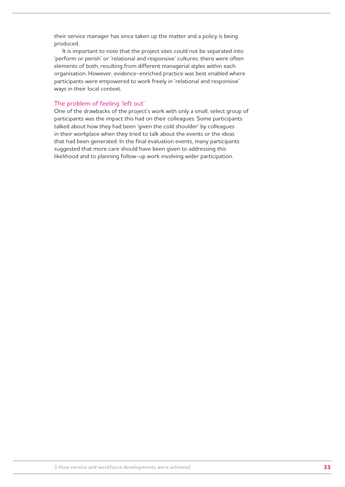their service manager has since taken up the matter and a policy is being produced.

It is important to note that the project sites could not be separated into 'perform or perish' or 'relational and responsive' cultures; there were often elements of both, resulting from different managerial styles within each organisation. However, evidence-enriched practice was best enabled where participants were empowered to work freely in 'relational and responsive' ways in their local context.

#### The problem of feeling 'left out'

One of the drawbacks of the project's work with only a small, select group of participants was the impact this had on their colleagues. Some participants talked about how they had been 'given the cold shoulder' by colleagues in their workplace when they tried to talk about the events or the ideas that had been generated. In the final evaluation events, many participants suggested that more care should have been given to addressing this likelihood and to planning follow-up work involving wider participation.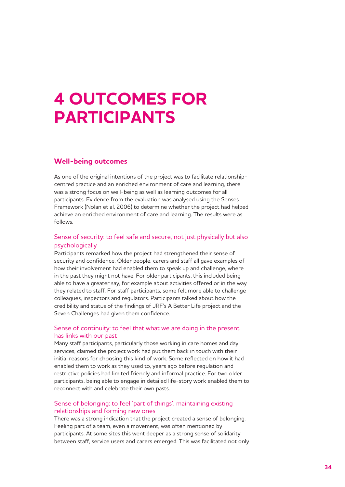## **4 OUTCOMES FOR PARTICIPANTS**

## **Well-being outcomes**

As one of the original intentions of the project was to facilitate relationshipcentred practice and an enriched environment of care and learning, there was a strong focus on well-being as well as learning outcomes for all participants. Evidence from the evaluation was analysed using the Senses Framework (Nolan et al, 2006) to determine whether the project had helped achieve an enriched environment of care and learning. The results were as follows.

### Sense of security: to feel safe and secure, not just physically but also psychologically

Participants remarked how the project had strengthened their sense of security and confidence. Older people, carers and staff all gave examples of how their involvement had enabled them to speak up and challenge, where in the past they might not have. For older participants, this included being able to have a greater say, for example about activities offered or in the way they related to staff. For staff participants, some felt more able to challenge colleagues, inspectors and regulators. Participants talked about how the credibility and status of the findings of JRF's A Better Life project and the Seven Challenges had given them confidence.

#### Sense of continuity: to feel that what we are doing in the present has links with our past

Many staff participants, particularly those working in care homes and day services, claimed the project work had put them back in touch with their initial reasons for choosing this kind of work. Some reflected on how it had enabled them to work as they used to, years ago before regulation and restrictive policies had limited friendly and informal practice. For two older participants, being able to engage in detailed life-story work enabled them to reconnect with and celebrate their own pasts.

#### Sense of belonging: to feel 'part of things', maintaining existing relationships and forming new ones

There was a strong indication that the project created a sense of belonging. Feeling part of a team, even a movement, was often mentioned by participants. At some sites this went deeper as a strong sense of solidarity between staff, service users and carers emerged. This was facilitated not only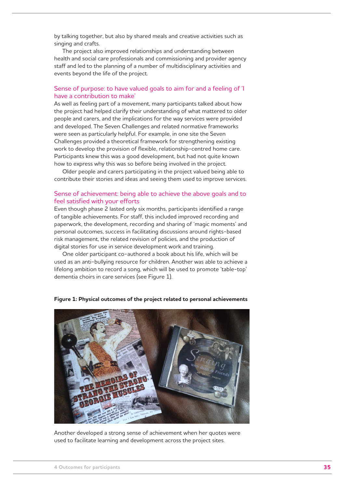by talking together, but also by shared meals and creative activities such as singing and crafts.

The project also improved relationships and understanding between health and social care professionals and commissioning and provider agency staff and led to the planning of a number of multidisciplinary activities and events beyond the life of the project.

#### Sense of purpose: to have valued goals to aim for and a feeling of 'I have a contribution to make'

As well as feeling part of a movement, many participants talked about how the project had helped clarify their understanding of what mattered to older people and carers, and the implications for the way services were provided and developed. The Seven Challenges and related normative frameworks were seen as particularly helpful. For example, in one site the Seven Challenges provided a theoretical framework for strengthening existing work to develop the provision of flexible, relationship-centred home care. Participants knew this was a good development, but had not quite known how to express why this was so before being involved in the project.

Older people and carers participating in the project valued being able to contribute their stories and ideas and seeing them used to improve services.

#### Sense of achievement: being able to achieve the above goals and to feel satisfied with your efforts

Even though phase 2 lasted only six months, participants identified a range of tangible achievements. For staff, this included improved recording and paperwork, the development, recording and sharing of 'magic moments' and personal outcomes, success in facilitating discussions around rights-based risk management, the related revision of policies, and the production of digital stories for use in service development work and training.

One older participant co-authored a book about his life, which will be used as an anti-bullying resource for children. Another was able to achieve a lifelong ambition to record a song, which will be used to promote 'table-top' dementia choirs in care services (see Figure 1).

**Figure 1: Physical outcomes of the project related to personal achievements**



Another developed a strong sense of achievement when her quotes were used to facilitate learning and development across the project sites.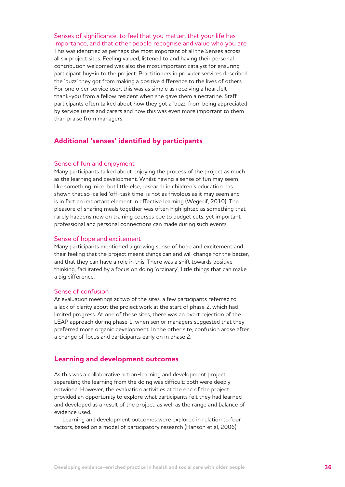Senses of significance: to feel that you matter, that your life has importance, and that other people recognise and value who you are This was identified as perhaps the most important of all the Senses across all six project sites. Feeling valued, listened to and having their personal contribution welcomed was also the most important catalyst for ensuring participant buy-in to the project. Practitioners in provider services described the 'buzz' they got from making a positive difference to the lives of others. For one older service user, this was as simple as receiving a heartfelt thank-you from a fellow resident when she gave them a nectarine. Staff participants often talked about how they got a 'buzz' from being appreciated by service users and carers and how this was even more important to them than praise from managers.

## **Additional 'senses' identified by participants**

#### Sense of fun and enjoyment

Many participants talked about enjoying the process of the project as much as the learning and development. Whilst having a sense of fun may seem like something 'nice' but little else, research in children's education has shown that so-called 'off-task time' is not as frivolous as it may seem and is in fact an important element in effective learning (Wegerif, 2010). The pleasure of sharing meals together was often highlighted as something that rarely happens now on training courses due to budget cuts, yet important professional and personal connections can made during such events.

#### Sense of hope and excitement

Many participants mentioned a growing sense of hope and excitement and their feeling that the project meant things can and will change for the better, and that they can have a role in this. There was a shift towards positive thinking, facilitated by a focus on doing 'ordinary', little things that can make a big difference.

#### Sense of confusion

At evaluation meetings at two of the sites, a few participants referred to a lack of clarity about the project work at the start of phase 2, which had limited progress. At one of these sites, there was an overt rejection of the LEAP approach during phase 1, when senior managers suggested that they preferred more organic development. In the other site, confusion arose after a change of focus and participants early on in phase 2.

#### **Learning and development outcomes**

As this was a collaborative action-learning and development project, separating the learning from the doing was difficult; both were deeply entwined. However, the evaluation activities at the end of the project provided an opportunity to explore what participants felt they had learned and developed as a result of the project, as well as the range and balance of evidence used.

Learning and development outcomes were explored in relation to four factors, based on a model of participatory research (Hanson et al, 2006):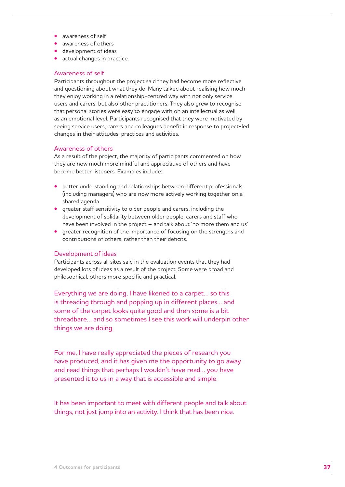- **•** awareness of self
- **•** awareness of others
- **•** development of ideas
- **•** actual changes in practice.

#### Awareness of self

Participants throughout the project said they had become more reflective and questioning about what they do. Many talked about realising how much they enjoy working in a relationship-centred way with not only service users and carers, but also other practitioners. They also grew to recognise that personal stories were easy to engage with on an intellectual as well as an emotional level. Participants recognised that they were motivated by seeing service users, carers and colleagues benefit in response to project-led changes in their attitudes, practices and activities.

#### Awareness of others

As a result of the project, the majority of participants commented on how they are now much more mindful and appreciative of others and have become better listeners. Examples include:

- **•** better understanding and relationships between different professionals (including managers) who are now more actively working together on a shared agenda
- **•** greater staff sensitivity to older people and carers, including the development of solidarity between older people, carers and staff who have been involved in the project – and talk about 'no more them and us'
- **•** greater recognition of the importance of focusing on the strengths and contributions of others, rather than their deficits.

#### Development of ideas

Participants across all sites said in the evaluation events that they had developed lots of ideas as a result of the project. Some were broad and philosophical, others more specific and practical.

Everything we are doing, I have likened to a carpet… so this is threading through and popping up in different places… and some of the carpet looks quite good and then some is a bit threadbare… and so sometimes I see this work will underpin other things we are doing.

For me, I have really appreciated the pieces of research you have produced, and it has given me the opportunity to go away and read things that perhaps I wouldn't have read… you have presented it to us in a way that is accessible and simple.

It has been important to meet with different people and talk about things, not just jump into an activity. I think that has been nice.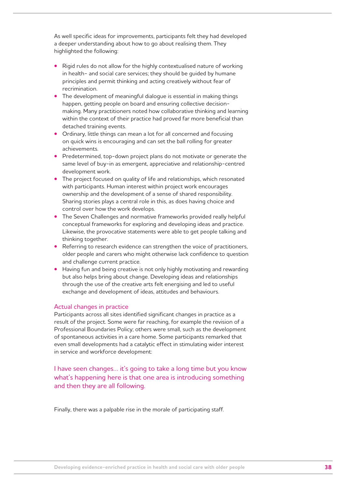As well specific ideas for improvements, participants felt they had developed a deeper understanding about how to go about realising them. They highlighted the following:

- **•** Rigid rules do not allow for the highly contextualised nature of working in health- and social care services; they should be guided by humane principles and permit thinking and acting creatively without fear of recrimination.
- **•** The development of meaningful dialogue is essential in making things happen, getting people on board and ensuring collective decisionmaking. Many practitioners noted how collaborative thinking and learning within the context of their practice had proved far more beneficial than detached training events.
- **•** Ordinary, little things can mean a lot for all concerned and focusing on quick wins is encouraging and can set the ball rolling for greater achievements.
- **•** Predetermined, top-down project plans do not motivate or generate the same level of buy-in as emergent, appreciative and relationship-centred development work.
- **•** The project focused on quality of life and relationships, which resonated with participants. Human interest within project work encourages ownership and the development of a sense of shared responsibility. Sharing stories plays a central role in this, as does having choice and control over how the work develops.
- **•** The Seven Challenges and normative frameworks provided really helpful conceptual frameworks for exploring and developing ideas and practice. Likewise, the provocative statements were able to get people talking and thinking together.
- **•** Referring to research evidence can strengthen the voice of practitioners, older people and carers who might otherwise lack confidence to question and challenge current practice.
- **•** Having fun and being creative is not only highly motivating and rewarding but also helps bring about change. Developing ideas and relationships through the use of the creative arts felt energising and led to useful exchange and development of ideas, attitudes and behaviours.

#### Actual changes in practice

Participants across all sites identified significant changes in practice as a result of the project. Some were far reaching, for example the revision of a Professional Boundaries Policy; others were small, such as the development of spontaneous activities in a care home. Some participants remarked that even small developments had a catalytic effect in stimulating wider interest in service and workforce development:

I have seen changes… it's going to take a long time but you know what's happening here is that one area is introducing something and then they are all following.

Finally, there was a palpable rise in the morale of participating staff.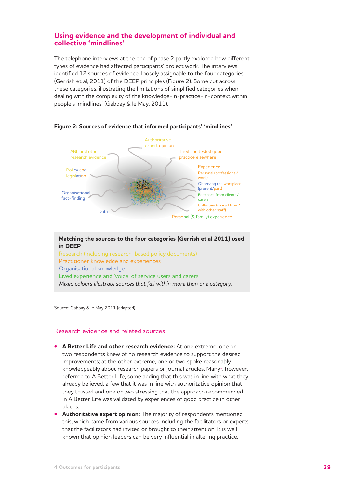## **Using evidence and the development of individual and collective 'mindlines'**

The telephone interviews at the end of phase 2 partly explored how different types of evidence had affected participants' project work. The interviews identified 12 sources of evidence, loosely assignable to the four categories (Gerrish et al, 2011) of the DEEP principles (Figure 2). Some cut across these categories, illustrating the limitations of simplified categories when dealing with the complexity of the knowledge-in-practice-in-context within people's 'mindlines' (Gabbay & le May, 2011).



#### **Figure 2: Sources of evidence that informed participants' 'mindlines'**

#### **Matching the sources to the four categories (Gerrish et al 2011) used in DEEP**

Research (including research-based policy documents) Practitioner knowledge and experiences Organisational knowledge Lived experience and 'voice' of service users and carers *Mixed colours illustrate sources that fall within more than one category.*

Source: Gabbay & le May 2011 (adapted)

#### Research evidence and related sources

- **• A Better Life and other research evidence:** At one extreme, one or two respondents knew of no research evidence to support the desired improvements; at the other extreme, one or two spoke reasonably knowledgeably about research papers or journal articles. Many<sup>1</sup>, however, referred to A Better Life, some adding that this was in line with what they already believed, a few that it was in line with authoritative opinion that they trusted and one or two stressing that the approach recommended in A Better Life was validated by experiences of good practice in other places.
- **• Authoritative expert opinion:** The majority of respondents mentioned this, which came from various sources including the facilitators or experts that the facilitators had invited or brought to their attention. It is well known that opinion leaders can be very influential in altering practice.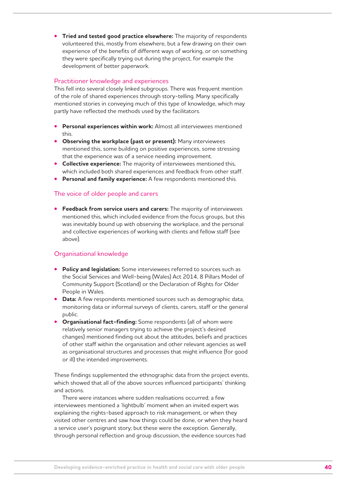**• Tried and tested good practice elsewhere:** The majority of respondents volunteered this, mostly from elsewhere, but a few drawing on their own experience of the benefits of different ways of working, or on something they were specifically trying out during the project, for example the development of better paperwork.

#### Practitioner knowledge and experiences

This fell into several closely linked subgroups. There was frequent mention of the role of shared experiences through story-telling. Many specifically mentioned stories in conveying much of this type of knowledge, which may partly have reflected the methods used by the facilitators.

- **• Personal experiences within work:** Almost all interviewees mentioned this.
- **• Observing the workplace (past or present):** Many interviewees mentioned this, some building on positive experiences, some stressing that the experience was of a service needing improvement.
- **• Collective experience:** The majority of interviewees mentioned this, which included both shared experiences and feedback from other staff.
- **• Personal and family experience:** A few respondents mentioned this.

#### The voice of older people and carers

**• Feedback from service users and carers:** The majority of interviewees mentioned this, which included evidence from the focus groups, but this was inevitably bound up with observing the workplace, and the personal and collective experiences of working with clients and fellow staff (see above).

#### Organisational knowledge

- **• Policy and legislation:** Some interviewees referred to sources such as the Social Services and Well-being (Wales) Act 2014, 8 Pillars Model of Community Support (Scotland) or the Declaration of Rights for Older People in Wales.
- **Data:** A few respondents mentioned sources such as demographic data, monitoring data or informal surveys of clients, carers, staff or the general public.
- **• Organisational fact-finding:** Some respondents (all of whom were relatively senior managers trying to achieve the project's desired changes) mentioned finding out about the attitudes, beliefs and practices of other staff within the organisation and other relevant agencies as well as organisational structures and processes that might influence (for good or ill) the intended improvements.

These findings supplemented the ethnographic data from the project events, which showed that all of the above sources influenced participants' thinking and actions.

There were instances where sudden realisations occurred; a few interviewees mentioned a 'lightbulb' moment when an invited expert was explaining the rights-based approach to risk management, or when they visited other centres and saw how things could be done, or when they heard a service user's poignant story; but these were the exception. Generally, through personal reflection and group discussion, the evidence sources had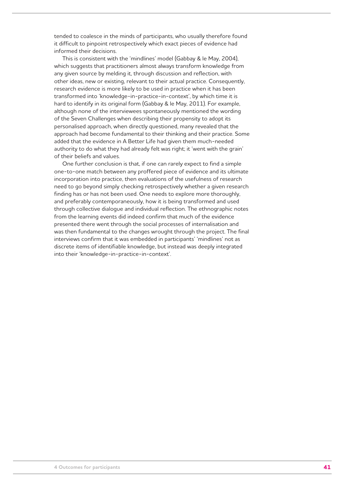tended to coalesce in the minds of participants, who usually therefore found it difficult to pinpoint retrospectively which exact pieces of evidence had informed their decisions.

This is consistent with the 'mindlines' model (Gabbay & le May, 2004), which suggests that practitioners almost always transform knowledge from any given source by melding it, through discussion and reflection, with other ideas, new or existing, relevant to their actual practice. Consequently, research evidence is more likely to be used in practice when it has been transformed into 'knowledge-in-practice-in-context', by which time it is hard to identify in its original form (Gabbay & le May, 2011). For example, although none of the interviewees spontaneously mentioned the wording of the Seven Challenges when describing their propensity to adopt its personalised approach, when directly questioned, many revealed that the approach had become fundamental to their thinking and their practice. Some added that the evidence in A Better Life had given them much-needed authority to do what they had already felt was right; it 'went with the grain' of their beliefs and values.

One further conclusion is that, if one can rarely expect to find a simple one-to-one match between any proffered piece of evidence and its ultimate incorporation into practice, then evaluations of the usefulness of research need to go beyond simply checking retrospectively whether a given research finding has or has not been used. One needs to explore more thoroughly, and preferably contemporaneously, how it is being transformed and used through collective dialogue and individual reflection. The ethnographic notes from the learning events did indeed confirm that much of the evidence presented there went through the social processes of internalisation and was then fundamental to the changes wrought through the project. The final interviews confirm that it was embedded in participants' 'mindlines' not as discrete items of identifiable knowledge, but instead was deeply integrated into their 'knowledge-in-practice-in-context'.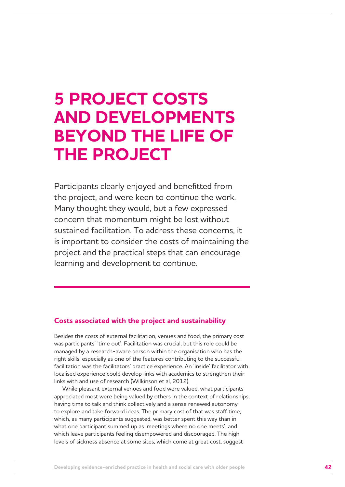## **5 PROJECT COSTS AND DEVELOPMENTS BEYOND THE LIFE OF THE PROJECT**

Participants clearly enjoyed and benefitted from the project, and were keen to continue the work. Many thought they would, but a few expressed concern that momentum might be lost without sustained facilitation. To address these concerns, it is important to consider the costs of maintaining the project and the practical steps that can encourage learning and development to continue.

## **Costs associated with the project and sustainability**

Besides the costs of external facilitation, venues and food, the primary cost was participants' 'time out'. Facilitation was crucial, but this role could be managed by a research-aware person within the organisation who has the right skills, especially as one of the features contributing to the successful facilitation was the facilitators' practice experience. An 'inside' facilitator with localised experience could develop links with academics to strengthen their links with and use of research (Wilkinson et al, 2012).

While pleasant external venues and food were valued, what participants appreciated most were being valued by others in the context of relationships, having time to talk and think collectively and a sense renewed autonomy to explore and take forward ideas. The primary cost of that was staff time, which, as many participants suggested, was better spent this way than in what one participant summed up as 'meetings where no one meets', and which leave participants feeling disempowered and discouraged. The high levels of sickness absence at some sites, which come at great cost, suggest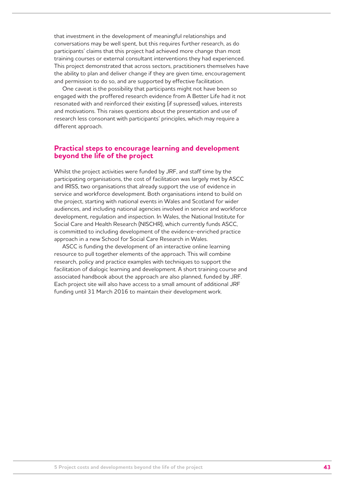that investment in the development of meaningful relationships and conversations may be well spent, but this requires further research, as do participants' claims that this project had achieved more change than most training courses or external consultant interventions they had experienced. This project demonstrated that across sectors, practitioners themselves have the ability to plan and deliver change if they are given time, encouragement and permission to do so, and are supported by effective facilitation.

One caveat is the possibility that participants might not have been so engaged with the proffered research evidence from A Better Life had it not resonated with and reinforced their existing (if supressed) values, interests and motivations. This raises questions about the presentation and use of research less consonant with participants' principles, which may require a different approach.

### **Practical steps to encourage learning and development beyond the life of the project**

Whilst the project activities were funded by JRF, and staff time by the participating organisations, the cost of facilitation was largely met by ASCC and IRISS, two organisations that already support the use of evidence in service and workforce development. Both organisations intend to build on the project, starting with national events in Wales and Scotland for wider audiences, and including national agencies involved in service and workforce development, regulation and inspection. In Wales, the National Institute for Social Care and Health Research (NISCHR), which currently funds ASCC, is committed to including development of the evidence-enriched practice approach in a new School for Social Care Research in Wales.

ASCC is funding the development of an interactive online learning resource to pull together elements of the approach. This will combine research, policy and practice examples with techniques to support the facilitation of dialogic learning and development. A short training course and associated handbook about the approach are also planned, funded by JRF. Each project site will also have access to a small amount of additional JRF funding until 31 March 2016 to maintain their development work.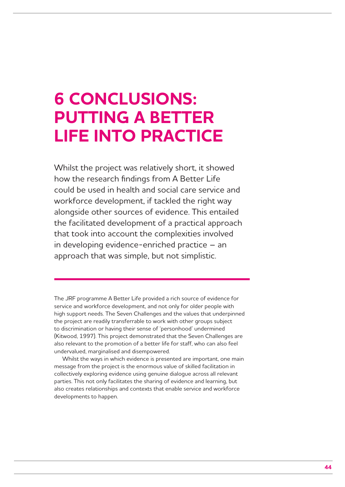## **6 CONCLUSIONS: PUTTING A BETTER LIFE INTO PRACTICE**

Whilst the project was relatively short, it showed how the research findings from A Better Life could be used in health and social care service and workforce development, if tackled the right way alongside other sources of evidence. This entailed the facilitated development of a practical approach that took into account the complexities involved in developing evidence-enriched practice – an approach that was simple, but not simplistic.

The JRF programme A Better Life provided a rich source of evidence for service and workforce development, and not only for older people with high support needs. The Seven Challenges and the values that underpinned the project are readily transferrable to work with other groups subject to discrimination or having their sense of 'personhood' undermined (Kitwood, 1997). This project demonstrated that the Seven Challenges are also relevant to the promotion of a better life for staff, who can also feel undervalued, marginalised and disempowered.

Whilst the ways in which evidence is presented are important, one main message from the project is the enormous value of skilled facilitation in collectively exploring evidence using genuine dialogue across all relevant parties. This not only facilitates the sharing of evidence and learning, but also creates relationships and contexts that enable service and workforce developments to happen.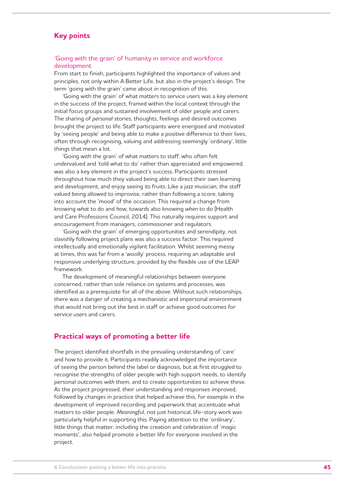## **Key points**

#### 'Going with the grain' of humanity in service and workforce development

From start to finish, participants highlighted the importance of values and principles, not only within A Better Life, but also in the project's design. The term 'going with the grain' came about in recognition of this.

'Going with the grain' of what matters to service users was a key element in the success of the project, framed within the local context through the initial focus groups and sustained involvement of older people and carers. The sharing of *personal* stories, thoughts, feelings and desired outcomes brought the project to life. Staff participants were energised and motivated by 'seeing people' and being able to make a positive difference to their lives, often through recognising, valuing and addressing seemingly 'ordinary', little things that mean a lot.

'Going with the grain' of what matters to staff, who often felt undervalued and 'told what to do' rather than appreciated and empowered, was also a key element in the project's success. Participants stressed throughout how much they valued being able to direct their own learning and development, and enjoy seeing its fruits. Like a jazz musician, the staff valued being allowed to improvise, rather than following a score, taking into account the 'mood' of the occasion. This required a change from knowing *what* to do and *how*, towards also knowing *when* to do (Health and Care Professions Council, 2014). This naturally requires support and encouragement from managers, commissioner and regulators.

'Going with the grain' of emerging opportunities and serendipity, not slavishly following project plans was also a success factor. This required intellectually and emotionally vigilant facilitation. Whilst seeming messy at times, this was far from a 'woolly' process, requiring an adaptable and responsive underlying structure, provided by the flexible use of the LEAP framework.

The development of meaningful relationships between everyone concerned, rather than sole reliance on systems and processes, was identified as a prerequisite for all of the above. Without such relationships, there was a danger of creating a mechanistic and impersonal environment that would not bring out the best in staff or achieve good outcomes for service users and carers.

### **Practical ways of promoting a better life**

The project identified shortfalls in the prevailing understanding of 'care' and how to provide it. Participants readily acknowledged the importance of seeing the person behind the label or diagnosis, but at first struggled to recognise the strengths of older people with high support needs, to identify personal outcomes *with* them, and to create opportunities to achieve these. As the project progressed, their understanding and responses improved, followed by changes in practice that helped achieve this, for example in the development of improved recording and paperwork that accentuate what matters to older people. *Meaningful,* not just historical, life-story work was particularly helpful in supporting this. Paying attention to the 'ordinary', little things that matter, including the creation and celebration of 'magic moments', also helped promote a better life for everyone involved in the project.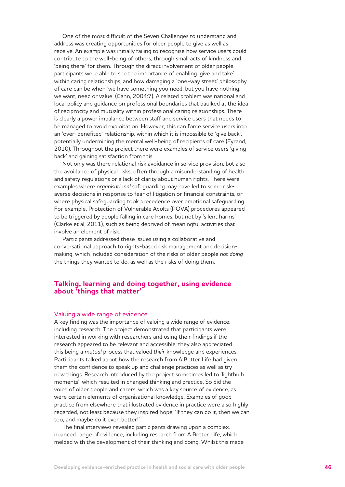One of the most difficult of the Seven Challenges to understand and address was creating opportunities for older people to give as well as receive. An example was initially failing to recognise how service users could contribute to the well-being of others, through small acts of kindness and 'being there' for them. Through the direct involvement of older people, participants were able to see the importance of enabling 'give and take' within caring relationships, and how damaging a 'one-way street' philosophy of care can be when 'we have something you need, but you have nothing, we want, need or value' (Cahn, 2004:7). A related problem was national and local policy and guidance on professional boundaries that baulked at the idea of reciprocity and mutuality within professional caring relationships. There is clearly a power imbalance between staff and service users that needs to be managed to avoid exploitation. However, this can force service users into an 'over-benefited' relationship, within which it is impossible to 'give back', potentially undermining the mental well-being of recipients of care (Fyrand, 2010). Throughout the project there were examples of service users 'giving back' and gaining satisfaction from this.

Not only was there relational risk avoidance in service provision, but also the avoidance of physical risks, often through a misunderstanding of health and safety regulations or a lack of clarity about human rights. There were examples where *organisational* safeguarding may have led to some riskaverse decisions in response to fear of litigation or financial constraints, or where physical safeguarding took precedence over emotional safeguarding. For example, Protection of Vulnerable Adults (POVA) procedures appeared to be triggered by people falling in care homes, but not by 'silent harms' (Clarke et al, 2011), such as being deprived of meaningful activities that involve an element of risk.

Participants addressed these issues using a collaborative and conversational approach to rights-based risk management and decisionmaking, which included consideration of the risks of older people *not doing* the things they wanted to do, as well as the risks of doing them.

### **Talking, learning and doing together, using evidence about 'things that matter'**

#### Valuing a wide range of evidence

A key finding was the importance of valuing a wide range of evidence, including research. The project demonstrated that participants were interested in working with researchers and using their findings if the research appeared to be relevant and accessible; they also appreciated this being a *mutual* process that valued *their* knowledge and experiences. Participants talked about how the research from A Better Life had given them the confidence to speak up and challenge practices as well as try new things. Research introduced by the project sometimes led to 'lightbulb moments', which resulted in changed thinking and practice. So did the voice of older people and carers, which was a key source of evidence, as were certain elements of organisational knowledge. Examples of good practice from elsewhere that illustrated evidence in practice were also highly regarded, not least because they inspired hope: 'If they can do it, then we can too, and maybe do it even better!'

The final interviews revealed participants drawing upon a complex, nuanced range of evidence, including research from A Better Life, which melded with the development of their thinking and doing. Whilst this made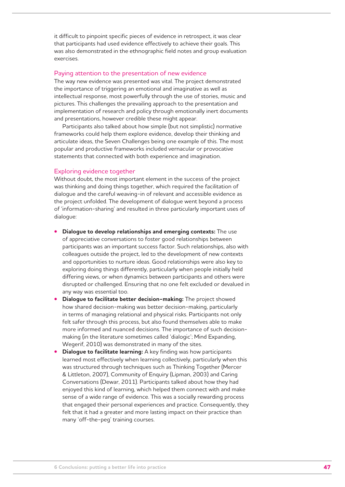it difficult to pinpoint specific pieces of evidence in retrospect, it was clear that participants had used evidence effectively to achieve their goals. This was also demonstrated in the ethnographic field notes and group evaluation exercises.

#### Paying attention to the presentation of new evidence

The way new evidence was presented was vital. The project demonstrated the importance of triggering an emotional and imaginative as well as intellectual response, most powerfully through the use of stories, music and pictures. This challenges the prevailing approach to the presentation and implementation of research and policy through emotionally inert documents and presentations, however credible these might appear.

Participants also talked about how simple (but not simplistic) normative frameworks could help them explore evidence, develop their thinking and articulate ideas, the Seven Challenges being one example of this. The most popular and productive frameworks included vernacular or provocative statements that connected with both experience and imagination.

#### Exploring evidence together

Without doubt, the most important element in the success of the project was thinking and doing things together, which required the facilitation of dialogue and the careful weaving-in of relevant and accessible evidence as the project unfolded. The development of dialogue went beyond a process of 'information-sharing' and resulted in three particularly important uses of dialogue:

- **• Dialogue to develop relationships and emerging contexts:** The use of appreciative conversations to foster good relationships between participants was an important success factor. Such relationships, also with colleagues outside the project, led to the development of new contexts and opportunities to nurture ideas. Good relationships were also key to exploring doing things differently, particularly when people initially held differing views, or when dynamics between participants and others were disrupted or challenged. Ensuring that no one felt excluded or devalued in any way was essential too.
- **• Dialogue to facilitate better decision-making:** The project showed how shared decision-making was better decision-making, particularly in terms of managing relational and physical risks. Participants not only felt safer through this process, but also found themselves able to make more informed and nuanced decisions. The importance of such decisionmaking (in the literature sometimes called 'dialogic'; Mind Expanding, Wegerif, 2010) was demonstrated in many of the sites.
- **Dialogue to facilitate learning:** A key finding was how participants learned most effectively when learning collectively, particularly when this was structured through techniques such as Thinking Together (Mercer & Littleton, 2007), Community of Enquiry (Lipman, 2003) and Caring Conversations (Dewar, 2011). Participants talked about how they had enjoyed this kind of learning, which helped them connect with and make sense of a wide range of evidence. This was a socially rewarding process that engaged their personal experiences and practice. Consequently, they felt that it had a greater and more lasting impact on their practice than many 'off-the-peg' training courses.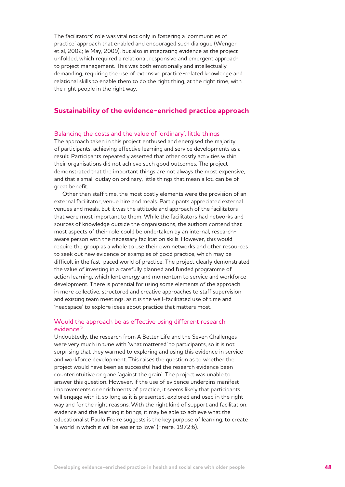The facilitators' role was vital not only in fostering a 'communities of practice' approach that enabled and encouraged such dialogue (Wenger et al, 2002; le May, 2009), but also in integrating evidence as the project unfolded, which required a relational, responsive and emergent approach to project management. This was both emotionally and intellectually demanding, requiring the use of extensive practice-related knowledge and relational skills to enable them to do the right thing, at the right time, with the right people in the right way.

### **Sustainability of the evidence-enriched practice approach**

#### Balancing the costs and the value of 'ordinary', little things

The approach taken in this project enthused and energised the majority of participants, achieving effective learning and service developments as a result. Participants repeatedly asserted that other costly activities within their organisations did not achieve such good outcomes. The project demonstrated that the important things are not always the most expensive, and that a small outlay on ordinary, little things that mean a lot, can be of great benefit.

Other than staff time, the most costly elements were the provision of an external facilitator, venue hire and meals. Participants appreciated external venues and meals, but it was the attitude and approach of the facilitators that were most important to them. While the facilitators had networks and sources of knowledge outside the organisations, the authors contend that most aspects of their role could be undertaken by an internal, researchaware person with the necessary facilitation skills. However, this would require the group as a whole to use their own networks and other resources to seek out new evidence or examples of good practice, which may be difficult in the fast-paced world of practice. The project clearly demonstrated the value of investing in a carefully planned and funded programme of action learning, which lent energy and momentum to service and workforce development. There is potential for using some elements of the approach in more collective, structured and creative approaches to staff supervision and existing team meetings, as it is the well-facilitated use of time and 'headspace' to explore ideas about practice that matters most.

#### Would the approach be as effective using different research evidence?

Undoubtedly, the research from A Better Life and the Seven Challenges were very much in tune with 'what mattered' to participants, so it is not surprising that they warmed to exploring and using this evidence in service and workforce development. This raises the question as to whether the project would have been as successful had the research evidence been counterintuitive or gone 'against the grain'. The project was unable to answer this question. However, if the use of evidence underpins manifest improvements or enrichments of practice, it seems likely that participants will engage with it, so long as it is presented, explored and used in the right way and for the right reasons. With the right kind of support and facilitation, evidence and the learning it brings, it may be able to achieve what the educationalist Paulo Freire suggests is the key purpose of learning; to create 'a world in which it will be easier to love' (Freire, 1972:6).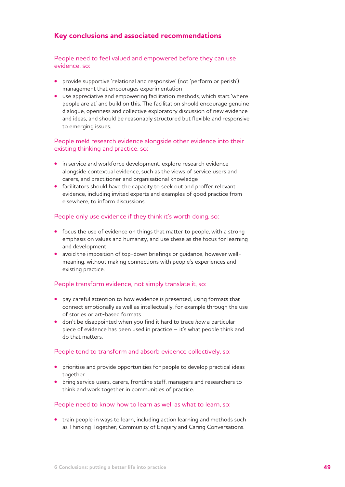## **Key conclusions and associated recommendations**

People need to feel valued and empowered before they can use evidence, so:

- **•** provide supportive 'relational and responsive' (not 'perform or perish') management that encourages experimentation
- **•** use appreciative and empowering facilitation methods, which start 'where people are at' and build on this. The facilitation should encourage genuine dialogue, openness and collective exploratory discussion of new evidence and ideas, and should be reasonably structured but flexible and responsive to emerging issues.

### People meld research evidence alongside other evidence into their existing thinking and practice, so:

- **•** in service and workforce development, explore research evidence alongside contextual evidence, such as the views of service users and carers, and practitioner and organisational knowledge
- **•** facilitators should have the capacity to seek out and proffer relevant evidence, including invited experts and examples of good practice from elsewhere, to inform discussions.

#### People only use evidence if they think it's worth doing, so:

- **•** focus the use of evidence on things that matter to people, with a strong emphasis on values and humanity, and use these as the focus for learning and development
- **•** avoid the imposition of top-down briefings or guidance, however wellmeaning, without making connections with people's experiences and existing practice.

#### People transform evidence, not simply translate it, so:

- **•** pay careful attention to how evidence is presented, using formats that connect emotionally as well as intellectually, for example through the use of stories or art-based formats
- **•** don't be disappointed when you find it hard to trace *how* a particular piece of evidence has been used in practice – it's what people think and do that matters.

### People tend to transform and absorb evidence collectively, so:

- **•** prioritise and provide opportunities for people to develop practical ideas together
- **•** bring service users, carers, frontline staff, managers and researchers to think and work together in communities of practice.

#### People need to know how to learn as well as what to learn, so:

**•** train people in ways to learn, including action learning and methods such as Thinking Together, Community of Enquiry and Caring Conversations.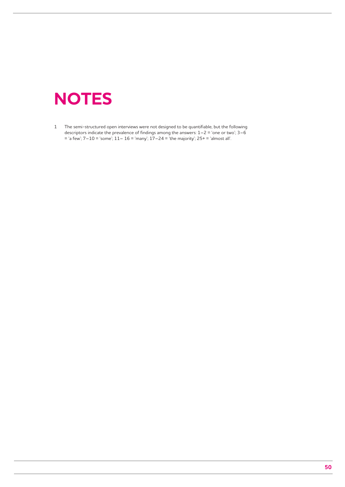## **NOTES**

1 The semi-structured open interviews were not designed to be quantifiable, but the following descriptors indicate the prevalence of findings among the answers:  $1-2 = 1$  one or two';  $3-6$ = 'a few'; 7–10 = 'some'; 11– 16 = 'many'; 17–24 = 'the majority'; 25+ = 'almost all'.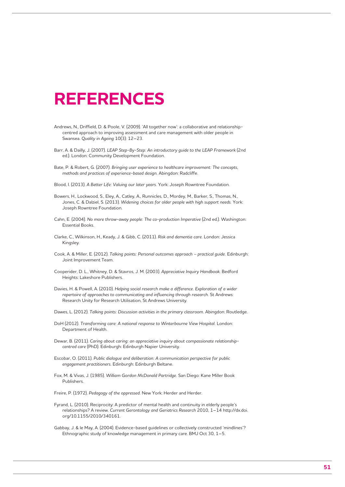## **REFERENCES**

- Andrews, N., Driffield, D. & Poole, V. (2009). 'All together now': a collaborative and relationshipcentred approach to improving assessment and care management with older people in Swansea. *Quality in Ageing* 10(3): 12–23.
- Barr, A. & Dailly, J. (2007). *LEAP Step-By-Step: An introductory guide to the LEAP Framework* (2nd ed.). London: Community Development Foundation.
- Bate, P. & Robert, G. (2007). *Bringing user experience to healthcare improvement: The concepts, methods and practices of experience-based design.* Abingdon: Radcliffe.
- Blood, I. (2013). *A Better Life: Valuing our later years.* York: Joseph Rowntree Foundation.
- Bowers, H., Lockwood, S., Eley, A., Catley, A., Runnicles, D., Mordey, M., Barker, S., Thomas, N., Jones, C. & Dalziel, S. (2013). *Widening choices for older people with high support needs.* York: Joseph Rowntree Foundation.
- Cahn, E. (2004). *No more throw-away people: The co-production Imperative* (2nd ed.). Washington: Essential Books.
- Clarke, C., Wilkinson, H., Keady, J. & Gibb, C. (2011). *Risk and dementia care.* London: Jessica Kingsley.
- Cook, A. & Miller, E. (2012). *Talking points: Personal outcomes approach practical guide.* Edinburgh: Joint Improvement Team.
- Cooperider, D. L., Whitney, D. & Stavros, J. M. (2003). *Appreciative Inquiry Handbook.* Bedford Heights: Lakeshore Publishers.
- Davies, H. & Powell, A. (2010). *Helping social research make a difference. Exploration of a wider repertoire of approaches to communicating and influencing through research.* St Andrews: Research Unity for Research Utilisation, St Andrews University.
- Dawes, L. (2012). *Talking points: Discussion activities in the primary classroom.* Abingdon: Routledge.
- DoH (2012). *Transforming care: A national response to Winterbourne View Hospital.* London: Department of Health.
- Dewar, B. (2011). *Caring about caring: an appreciative inquiry about compassionate relationshipcentred care* (PhD). Edinburgh: Edinburgh Napier University.
- Escobar, O. (2011). *Public dialogue and deliberation: A communication perspective for public engagement practitioners.* Edinburgh: Edinburgh Beltane.
- Fox, M. & Vivas, J. (1985). *William Gordon McDonald Partridge.* San Diego: Kane Miller Book Publishers.
- Freire, P. (1972). *Pedagogy of the oppressed.* New York: Herder and Herder.
- Fyrand, L. (2010). Reciprocity: A predictor of mental health and continuity in elderly people's relationships? A review. *Current Gerontology and Geriatrics Research* 2010, 1–14 http://dx.doi. org/10.1155/2010/340161.
- Gabbay, J. & le May, A. (2004). Evidence-based guidelines or collectively constructed 'mindlines'? Ethnographic study of knowledge management in primary care. BMJ Oct 30, 1–5.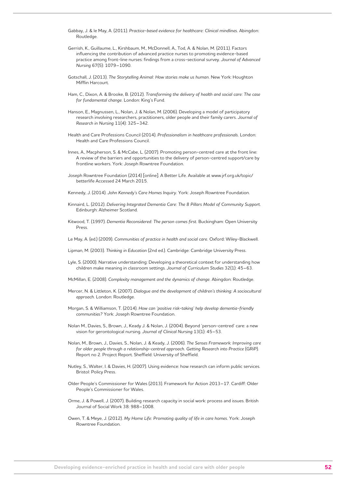- Gabbay, J. & le May, A. (2011). *Practice-based evidence for healthcare: Clinical mindlines.* Abingdon: Routledge.
- Gerrish, K., Guillaume, L., Kirshbaum, M., McDonnell, A., Tod, A. & Nolan, M. (2011). Factors influencing the contribution of advanced practice nurses to promoting evidence-based practice among front-line nurses: findings from a cross-sectional survey. *Journal of Advanced Nursing* 67(5): 1079–1090.
- Gotschall, J. (2013). *The Storytelling Animal: How stories make us human.* New York: Houghton Mifflin Harcourt.
- Ham, C., Dixon, A. & Brooke, B. (2012). *Transforming the delivery of health and social care: The case for fundamental change.* London: King's Fund.
- Hanson, E., Magnussen, L., Nolan, J. & Nolan, M. (2006). Developing a model of participatory research involving researchers, practitioners, older people and their family carers. *Journal of Research in Nursing* 11(4): 325–342.
- Health and Care Professions Council (2014). *Professionalism in healthcare professionals.* London: Health and Care Professions Council.
- Innes, A., Macpherson, S. & McCabe, L. (2007). Promoting person-centred care at the front line: A review of the barriers and opportunities to the delivery of person-centred support/care by frontline workers. York: Joseph Rowntree Foundation.
- Joseph Rowntree Foundation (2014) [online]. A Better Life. Available at www.jrf.org.uk/topic/ betterlife Accessed 24 March 2015.
- Kennedy, J. (2014). *John Kennedy's Care Homes Inquiry.* York: Joseph Rowntree Foundation.
- Kinnaird, L. (2012). *Delivering Integrated Dementia Care: The 8 Pillars Model of Community Support.* Edinburgh: Alzheimer Scotland.
- Kitwood, T. (1997). *Dementia Reconsidered: The person comes first.* Buckingham: Open University Press.
- Le May, A. (ed.) (2009). *Communities of practice in health and social care.* Oxford: Wiley-Blackwell.
- Lipman, M. (2003). *Thinking in Education* (2nd ed.). Cambridge: Cambridge University Press.
- Lyle, S. (2000). Narrative understanding: Developing a theoretical context for understanding how children make meaning in classroom settings. *Journal of Curriculum Studies* 32(1): 45–63.
- McMillan, E. (2008). *Complexity management and the dynamics of change.* Abingdon: Routledge.
- Mercer, N. & Littleton, K. (2007). *Dialogue and the development of children's thinking: A sociocultural approach.* London: Routledge.
- Morgan, S. & Williamson, T. (2014). *How can 'positive risk-taking' help develop dementia-friendly communities?* York: Joseph Rowntree Foundation.
- Nolan M., Davies, S., Brown, J., Keady J. & Nolan, J. (2004). Beyond 'person-centred' care: a new vision for gerontological nursing. *Journal of Clinical Nursing* 13(1): 45–53.
- Nolan, M., Brown, J., Davies, S., Nolan, J. & Keady, J. (2006). *The Senses Framework: Improving care*  for older people through a relationship-centred approach. Getting Research into Practice (GRIP). Report no 2. Project Report. Sheffield: University of Sheffield.
- Nutley, S., Walter, I. & Davies, H. (2007). Using evidence: how research can inform public services. Bristol: Policy Press.
- Older People's Commissioner for Wales (2013). Framework for Action 2013–17. Cardiff: Older People's Commissioner for Wales.
- Orme, J. & Powell, J. (2007). Building research capacity in social work: process and issues. British Journal of Social Work 38: 988–1008.
- Owen, T. & Meye, J. (2012). *My Home Life: Promoting quality of life in care homes.* York: Joseph Rowntree Foundation.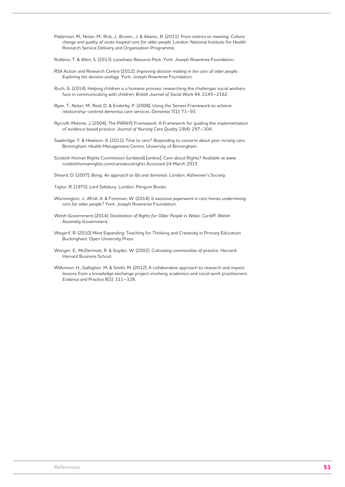Patterson, M., Nolan, M., Rick, J., Brown., J. & Adams., R. (2011). *From metrics to meaning: Culture change and quality of acute hospital care for older people.* London: National Institute for Health Research Service Delivery and Organisation Programme.

Robbins, T. & Allen, S. (2013). *Loneliness Resource Pack.* York: Joseph Rowntree Foundation.

- RSA Action and Research Centre (2012). *Improving decision making in the care of older people: Exploring the decision ecology.* York: Joseph Rowntree Foundation.
- Ruch, G. (2014). Helping children is a humane process: researching the challenges social workers face in communicating with children. *British Journal of Social Work* 44: 2145–2162.
- Ryan, T., Nolan, M., Reid, D. & Enderby, P. (2008). Using the Senses Framework to achieve relationship-centred dementia care services. *Dementia* 7(1): 71–93.
- Rycroft-Malone, J. (2004). The PARiHS Framework: A Framework for guiding the implementation of evidence based practice. *Journal of Nursing Care Quality* 19(4): 297–304.
- Sawbridge, Y. & Hewison, A. (2011). *Time to care? Responding to concerns about poor nursing care.* Birmingham: Health Management Centre, University of Birmingham.
- Scottish Human Rights Commission (undated) [online]. Care about Rights? Available at www. scottishhumanrights.com/careaboutrights Accessed 24 March 2015.

Sheard, D. (2007). *Being: An approach to life and dementia.* London: Alzheimer's Society.

- Taylor, R. (1975). *Lord Salisbury.* London: Penguin Books.
- Warmington, J., Afridi, A. & Foreman, W. (2014). *Is excessive paperwork in care homes undermining care for older people?* York: Joseph Rowntree Foundation.
- Welsh Government (2014). *Declaration of Rights for Older People in Wales.* Cardiff: Welsh Assembly Government.
- Wegerif, R. (2010) Mind Expanding: Teaching for Thinking and Creativity in Primary Education. Buckingham: Open University Press
- Wenger, E., McDermott, R. & Snyder, W. (2002). *Cultivating communities of practice.* Harvard: Harvard Business School.
- Wilkinson, H., Gallagher, M. & Smith, M. (2012). A collaborative approach to research and impact: lessons from a knowledge exchange project involving academics and social work practitioners. *Evidence and Practice* 8(3): 311–328.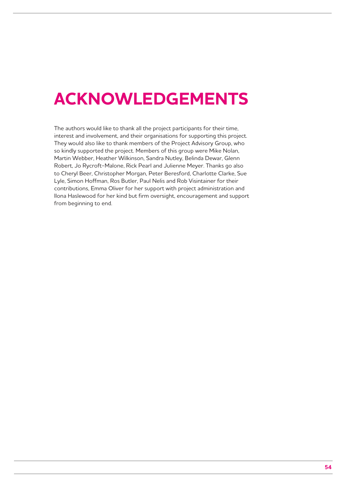## **ACKNOWLEDGEMENTS**

The authors would like to thank all the project participants for their time, interest and involvement, and their organisations for supporting this project. They would also like to thank members of the Project Advisory Group, who so kindly supported the project. Members of this group were Mike Nolan, Martin Webber, Heather Wilkinson, Sandra Nutley, Belinda Dewar, Glenn Robert, Jo Rycroft-Malone, Rick Pearl and Julienne Meyer. Thanks go also to Cheryl Beer, Christopher Morgan, Peter Beresford, Charlotte Clarke, Sue Lyle, Simon Hoffman, Ros Butler, Paul Nelis and Rob Visintainer for their contributions, Emma Oliver for her support with project administration and Ilona Haslewood for her kind but firm oversight, encouragement and support from beginning to end.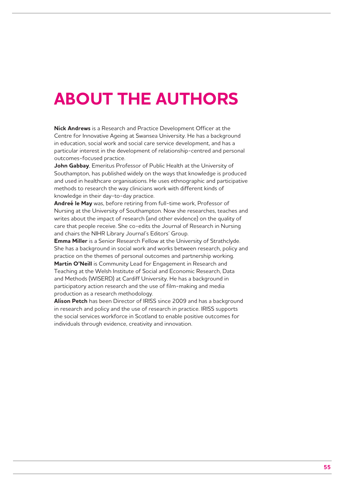## **ABOUT THE AUTHORS**

**Nick Andrews** is a Research and Practice Development Officer at the Centre for Innovative Ageing at Swansea University. He has a background in education, social work and social care service development, and has a particular interest in the development of relationship-centred and personal outcomes-focused practice.

**John Gabbay**, Emeritus Professor of Public Health at the University of Southampton, has published widely on the ways that knowledge is produced and used in healthcare organisations. He uses ethnographic and participative methods to research the way clinicians work with different kinds of knowledge in their day-to-day practice.

**Andreé le May** was, before retiring from full-time work, Professor of Nursing at the University of Southampton. Now she researches, teaches and writes about the impact of research (and other evidence) on the quality of care that people receive. She co-edits the Journal of Research in Nursing and chairs the NIHR Library Journal's Editors' Group.

**Emma Miller** is a Senior Research Fellow at the University of Strathclyde. She has a background in social work and works between research, policy and practice on the themes of personal outcomes and partnership working. **Martin O'Neill** is Community Lead for Engagement in Research and Teaching at the Welsh Institute of Social and Economic Research, Data and Methods (WISERD) at Cardiff University. He has a background in participatory action research and the use of film-making and media production as a research methodology.

**Alison Petch** has been Director of IRISS since 2009 and has a background in research and policy and the use of research in practice. IRISS supports the social services workforce in Scotland to enable positive outcomes for individuals through evidence, creativity and innovation.